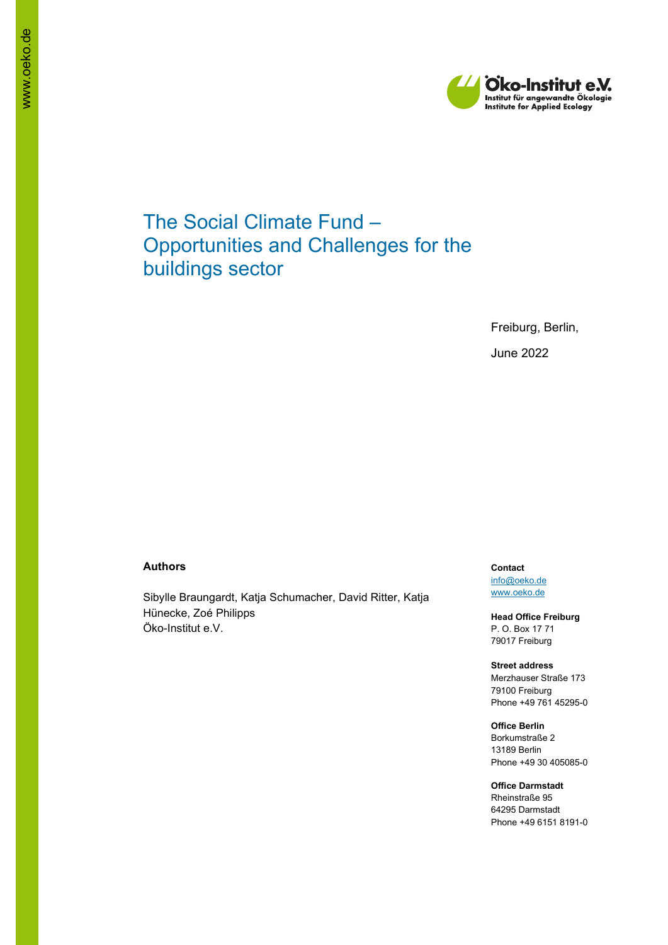

# The Social Climate Fund – Opportunities and Challenges for the buildings sector

Freiburg, Berlin, June 2022

#### **Authors**

Sibylle Braungardt, Katja Schumacher, David Ritter, Katja Hünecke, Zoé Philipps Öko-Institut e.V.

**Contact** [info@oeko.de](mailto:info@oeko.de) [www.oeko.de](http://www.oeko.de/)

**Head Office Freiburg** P. O. Box 17 71 79017 Freiburg

**Street address** Merzhauser Straße 173 79100 Freiburg Phone +49 761 45295-0

**Office Berlin** Borkumstraße 2 13189 Berlin Phone +49 30 405085-0

**Office Darmstadt** Rheinstraße 95 64295 Darmstadt Phone +49 6151 8191-0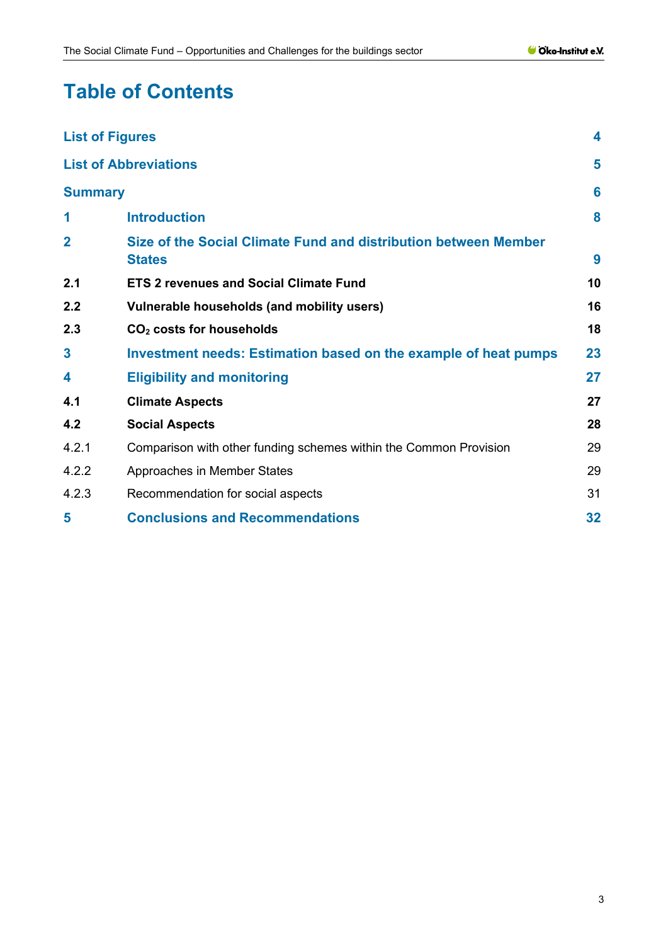# **Table of Contents**

| <b>List of Figures</b> |                                                                                  | 4  |
|------------------------|----------------------------------------------------------------------------------|----|
|                        | <b>List of Abbreviations</b>                                                     | 5  |
| <b>Summary</b>         |                                                                                  | 6  |
| 1                      | <b>Introduction</b>                                                              | 8  |
| $\overline{2}$         | Size of the Social Climate Fund and distribution between Member<br><b>States</b> | 9  |
| 2.1                    | <b>ETS 2 revenues and Social Climate Fund</b>                                    | 10 |
| 2.2                    | Vulnerable households (and mobility users)                                       | 16 |
| 2.3                    | CO <sub>2</sub> costs for households                                             | 18 |
| 3                      | Investment needs: Estimation based on the example of heat pumps                  | 23 |
| 4                      | <b>Eligibility and monitoring</b>                                                | 27 |
| 4.1                    | <b>Climate Aspects</b>                                                           | 27 |
| 4.2                    | <b>Social Aspects</b>                                                            | 28 |
| 4.2.1                  | Comparison with other funding schemes within the Common Provision                | 29 |
| 4.2.2                  | Approaches in Member States                                                      | 29 |
| 4.2.3                  | Recommendation for social aspects                                                | 31 |
| 5                      | <b>Conclusions and Recommendations</b>                                           | 32 |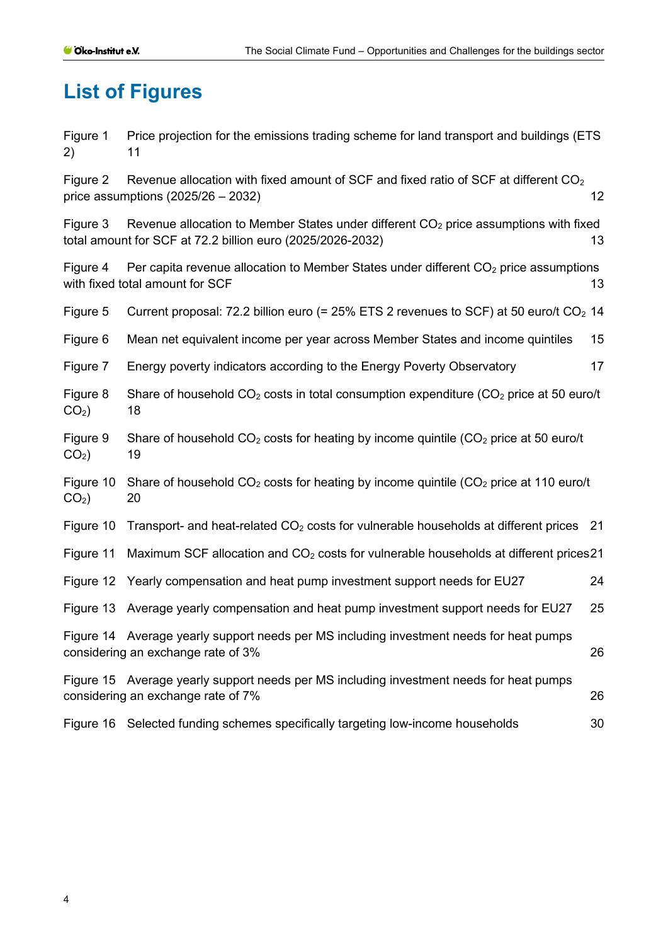# <span id="page-3-0"></span>**List of Figures**

Figure 1 Price projection for the emissions trading scheme for land transport and buildings (ETS 2) [11](#page-10-0)

Figure 2 Revenue allocation with fixed amount of SCF and fixed ratio of SCF at different  $CO<sub>2</sub>$ price assumptions  $(2025/26 - 2032)$  12

Figure 3 Revenue allocation to Member States under different  $CO<sub>2</sub>$  price assumptions with fixed [total amount for SCF at 72.2 billion euro \(2025/2026-2032\)](#page-12-0) 13

Figure 4 Per capita revenue allocation to Member States under different  $CO<sub>2</sub>$  price assumptions [with fixed total amount for SCF](#page-12-1) 13

Figure 5 Current proposal: 72.2 billion euro (= 25% ETS 2 revenues to SCF) at 50 euro/t  $CO<sub>2</sub>$  14

Figure 6 [Mean net equivalent income per year across Member States and income quintiles](#page-14-0) 15

- Figure 7 [Energy poverty indicators according](#page-16-0) to the Energy Poverty Observatory 17
- Figure 8 Share of household  $CO<sub>2</sub>$  costs in total consumption expenditure ( $CO<sub>2</sub>$  price at 50 euro/t  $CO<sub>2</sub>$  18
- Figure 9 Share of household  $CO<sub>2</sub>$  costs for heating by income quintile  $(CO<sub>2</sub>$  price at 50 euro/t  $CO<sub>2</sub>$  19
- Figure 10 Share of household  $CO<sub>2</sub>$  costs for heating by income quintile ( $CO<sub>2</sub>$  price at 110 euro/t  $CO<sub>2</sub>$ ) 20
- Figure 10 Transport- and heat-related  $CO<sub>2</sub>$  [costs for vulnerable households at different prices](#page-20-0) 21
- Figure 11 Maximum SCF allocation and  $CO<sub>2</sub>$  costs for vulnerable households at different prices 21

|  | Figure 12 Yearly compensation and heat pump investment support needs for EU27 | 24 |  |
|--|-------------------------------------------------------------------------------|----|--|
|--|-------------------------------------------------------------------------------|----|--|

[Figure 13 Average yearly compensation and heat pump investment support needs for EU27](#page-24-0) 25

[Figure 14 Average yearly support needs per MS including investment needs for heat pumps](#page-25-0)  [considering an exchange rate of 3%](#page-25-0) 26

[Figure 15 Average yearly support needs per MS including investment needs for heat pumps](#page-25-1)  [considering an exchange rate of 7%](#page-25-1) 26

[Figure 16 Selected funding schemes specifically targeting low-income households](#page-29-0) 30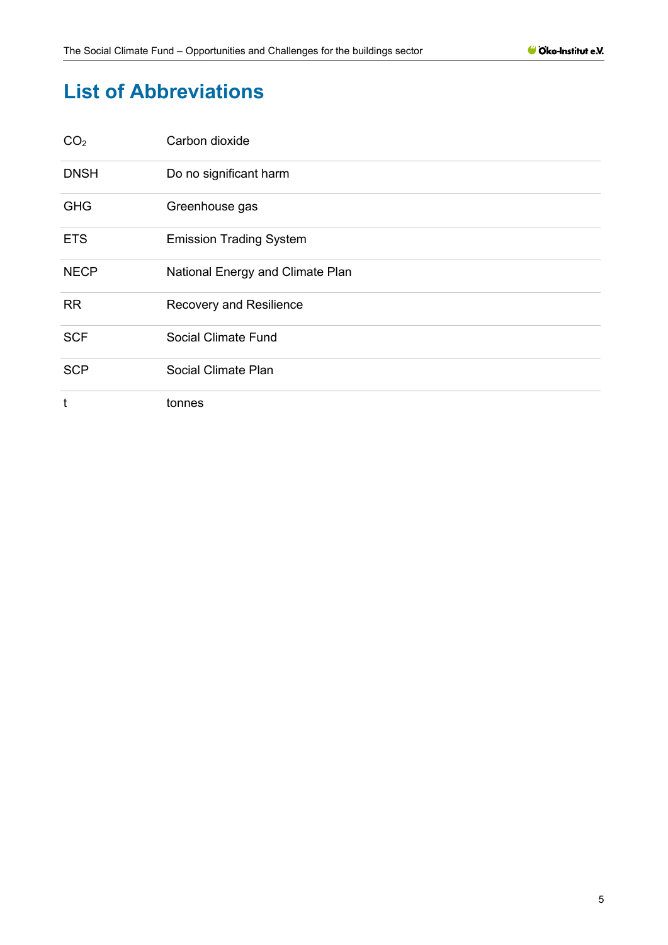# <span id="page-4-0"></span>**List of Abbreviations**

| CO <sub>2</sub> | Carbon dioxide                   |
|-----------------|----------------------------------|
| <b>DNSH</b>     | Do no significant harm           |
| <b>GHG</b>      | Greenhouse gas                   |
| <b>ETS</b>      | <b>Emission Trading System</b>   |
| <b>NECP</b>     | National Energy and Climate Plan |
| <b>RR</b>       | Recovery and Resilience          |
| <b>SCF</b>      | Social Climate Fund              |
| <b>SCP</b>      | Social Climate Plan              |
| t               | tonnes                           |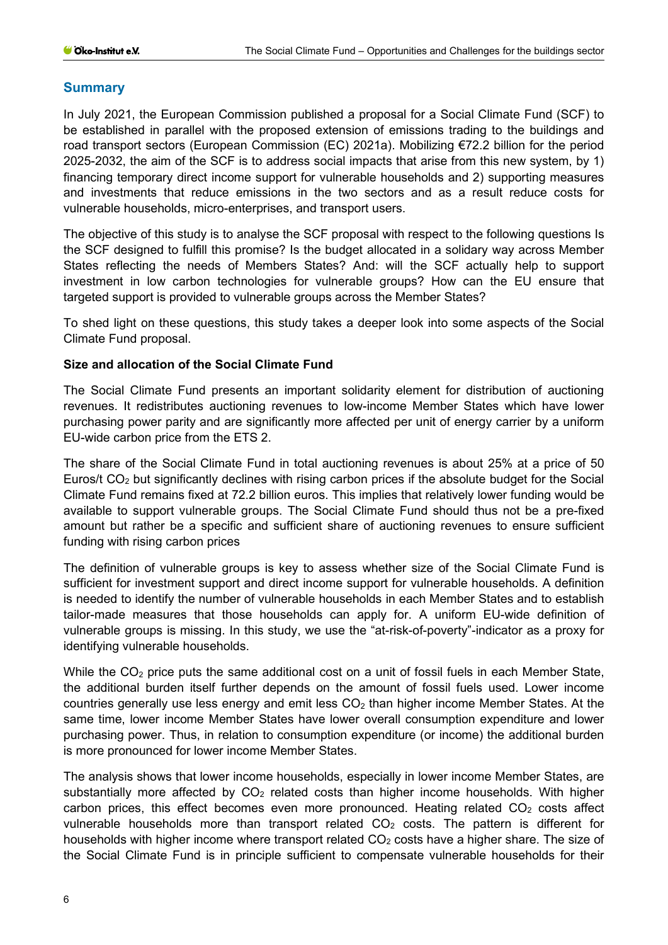#### <span id="page-5-0"></span>**Summary**

In July 2021, the European Commission published a proposal for a Social Climate Fund (SCF) to be established in parallel with the proposed extension of emissions trading to the buildings and road transport sectors (European Commission (EC) 2021a). Mobilizing €72.2 billion for the period 2025-2032, the aim of the SCF is to address social impacts that arise from this new system, by 1) financing temporary direct income support for vulnerable households and 2) supporting measures and investments that reduce emissions in the two sectors and as a result reduce costs for vulnerable households, micro-enterprises, and transport users.

The objective of this study is to analyse the SCF proposal with respect to the following questions Is the SCF designed to fulfill this promise? Is the budget allocated in a solidary way across Member States reflecting the needs of Members States? And: will the SCF actually help to support investment in low carbon technologies for vulnerable groups? How can the EU ensure that targeted support is provided to vulnerable groups across the Member States?

To shed light on these questions, this study takes a deeper look into some aspects of the Social Climate Fund proposal.

#### **Size and allocation of the Social Climate Fund**

The Social Climate Fund presents an important solidarity element for distribution of auctioning revenues. It redistributes auctioning revenues to low-income Member States which have lower purchasing power parity and are significantly more affected per unit of energy carrier by a uniform EU-wide carbon price from the ETS 2.

The share of the Social Climate Fund in total auctioning revenues is about 25% at a price of 50 Euros/t CO2 but significantly declines with rising carbon prices if the absolute budget for the Social Climate Fund remains fixed at 72.2 billion euros. This implies that relatively lower funding would be available to support vulnerable groups. The Social Climate Fund should thus not be a pre-fixed amount but rather be a specific and sufficient share of auctioning revenues to ensure sufficient funding with rising carbon prices

The definition of vulnerable groups is key to assess whether size of the Social Climate Fund is sufficient for investment support and direct income support for vulnerable households. A definition is needed to identify the number of vulnerable households in each Member States and to establish tailor-made measures that those households can apply for. A uniform EU-wide definition of vulnerable groups is missing. In this study, we use the "at-risk-of-poverty"-indicator as a proxy for identifying vulnerable households.

While the CO<sub>2</sub> price puts the same additional cost on a unit of fossil fuels in each Member State, the additional burden itself further depends on the amount of fossil fuels used. Lower income countries generally use less energy and emit less  $CO<sub>2</sub>$  than higher income Member States. At the same time, lower income Member States have lower overall consumption expenditure and lower purchasing power. Thus, in relation to consumption expenditure (or income) the additional burden is more pronounced for lower income Member States.

The analysis shows that lower income households, especially in lower income Member States, are substantially more affected by  $CO<sub>2</sub>$  related costs than higher income households. With higher carbon prices, this effect becomes even more pronounced. Heating related  $CO<sub>2</sub>$  costs affect vulnerable households more than transport related  $CO<sub>2</sub>$  costs. The pattern is different for households with higher income where transport related  $CO<sub>2</sub>$  costs have a higher share. The size of the Social Climate Fund is in principle sufficient to compensate vulnerable households for their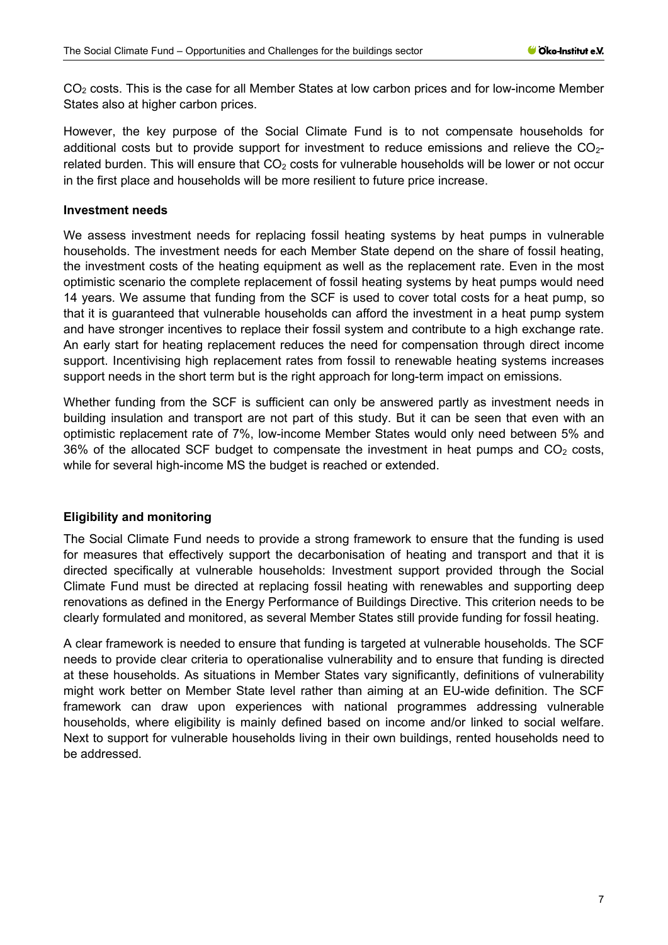$CO<sub>2</sub>$  costs. This is the case for all Member States at low carbon prices and for low-income Member States also at higher carbon prices.

However, the key purpose of the Social Climate Fund is to not compensate households for additional costs but to provide support for investment to reduce emissions and relieve the  $CO<sub>2</sub>$ related burden. This will ensure that  $CO<sub>2</sub>$  costs for vulnerable households will be lower or not occur in the first place and households will be more resilient to future price increase.

#### **Investment needs**

We assess investment needs for replacing fossil heating systems by heat pumps in vulnerable households. The investment needs for each Member State depend on the share of fossil heating, the investment costs of the heating equipment as well as the replacement rate. Even in the most optimistic scenario the complete replacement of fossil heating systems by heat pumps would need 14 years. We assume that funding from the SCF is used to cover total costs for a heat pump, so that it is guaranteed that vulnerable households can afford the investment in a heat pump system and have stronger incentives to replace their fossil system and contribute to a high exchange rate. An early start for heating replacement reduces the need for compensation through direct income support. Incentivising high replacement rates from fossil to renewable heating systems increases support needs in the short term but is the right approach for long-term impact on emissions.

Whether funding from the SCF is sufficient can only be answered partly as investment needs in building insulation and transport are not part of this study. But it can be seen that even with an optimistic replacement rate of 7%, low-income Member States would only need between 5% and 36% of the allocated SCF budget to compensate the investment in heat pumps and  $CO<sub>2</sub>$  costs, while for several high-income MS the budget is reached or extended.

#### **Eligibility and monitoring**

The Social Climate Fund needs to provide a strong framework to ensure that the funding is used for measures that effectively support the decarbonisation of heating and transport and that it is directed specifically at vulnerable households: Investment support provided through the Social Climate Fund must be directed at replacing fossil heating with renewables and supporting deep renovations as defined in the Energy Performance of Buildings Directive. This criterion needs to be clearly formulated and monitored, as several Member States still provide funding for fossil heating.

A clear framework is needed to ensure that funding is targeted at vulnerable households. The SCF needs to provide clear criteria to operationalise vulnerability and to ensure that funding is directed at these households. As situations in Member States vary significantly, definitions of vulnerability might work better on Member State level rather than aiming at an EU-wide definition. The SCF framework can draw upon experiences with national programmes addressing vulnerable households, where eligibility is mainly defined based on income and/or linked to social welfare. Next to support for vulnerable households living in their own buildings, rented households need to be addressed.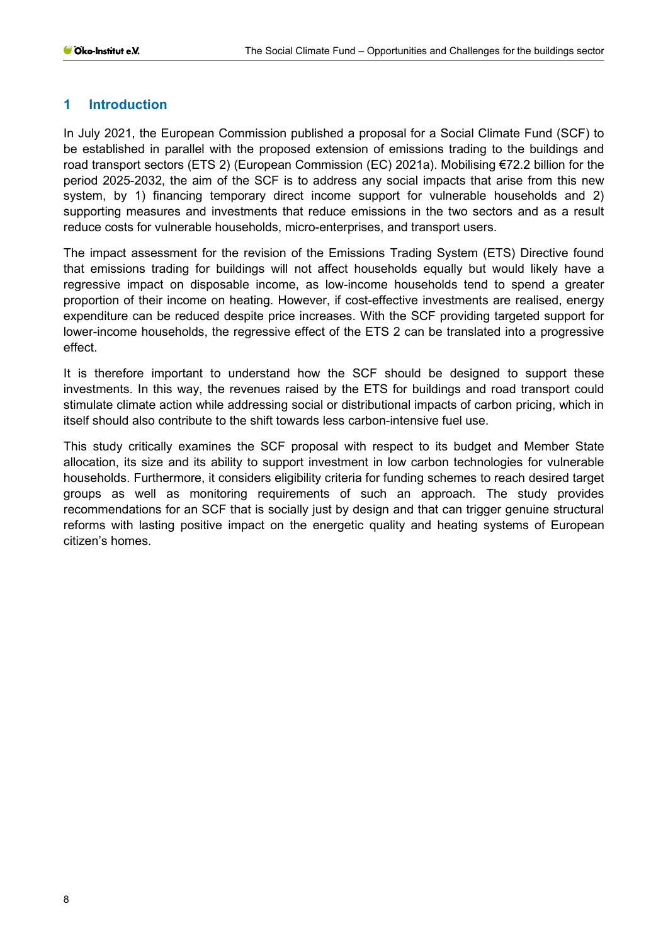#### <span id="page-7-0"></span>**1 Introduction**

In July 2021, the European Commission published a proposal for a Social Climate Fund (SCF) to be established in parallel with the proposed extension of emissions trading to the buildings and road transport sectors (ETS 2) (European Commission (EC) 2021a). Mobilising €72.2 billion for the period 2025-2032, the aim of the SCF is to address any social impacts that arise from this new system, by 1) financing temporary direct income support for vulnerable households and 2) supporting measures and investments that reduce emissions in the two sectors and as a result reduce costs for vulnerable households, micro-enterprises, and transport users.

The impact assessment for the revision of the Emissions Trading System (ETS) Directive found that emissions trading for buildings will not affect households equally but would likely have a regressive impact on disposable income, as low-income households tend to spend a greater proportion of their income on heating. However, if cost-effective investments are realised, energy expenditure can be reduced despite price increases. With the SCF providing targeted support for lower-income households, the regressive effect of the ETS 2 can be translated into a progressive effect.

It is therefore important to understand how the SCF should be designed to support these investments. In this way, the revenues raised by the ETS for buildings and road transport could stimulate climate action while addressing social or distributional impacts of carbon pricing, which in itself should also contribute to the shift towards less carbon-intensive fuel use.

This study critically examines the SCF proposal with respect to its budget and Member State allocation, its size and its ability to support investment in low carbon technologies for vulnerable households. Furthermore, it considers eligibility criteria for funding schemes to reach desired target groups as well as monitoring requirements of such an approach. The study provides recommendations for an SCF that is socially just by design and that can trigger genuine structural reforms with lasting positive impact on the energetic quality and heating systems of European citizen's homes.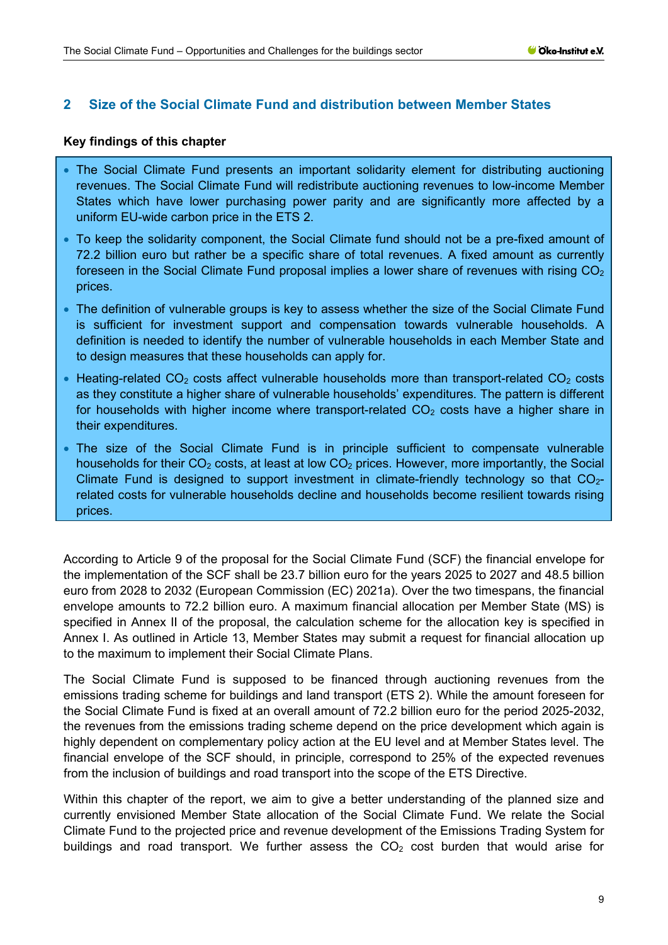# <span id="page-8-0"></span>**2 Size of the Social Climate Fund and distribution between Member States**

#### **Key findings of this chapter**

- The Social Climate Fund presents an important solidarity element for distributing auctioning revenues. The Social Climate Fund will redistribute auctioning revenues to low-income Member States which have lower purchasing power parity and are significantly more affected by a uniform EU-wide carbon price in the ETS 2.
- To keep the solidarity component, the Social Climate fund should not be a pre-fixed amount of 72.2 billion euro but rather be a specific share of total revenues. A fixed amount as currently foreseen in the Social Climate Fund proposal implies a lower share of revenues with rising  $CO<sub>2</sub>$ prices.
- The definition of vulnerable groups is key to assess whether the size of the Social Climate Fund is sufficient for investment support and compensation towards vulnerable households. A definition is needed to identify the number of vulnerable households in each Member State and to design measures that these households can apply for.
- Heating-related  $CO<sub>2</sub>$  costs affect vulnerable households more than transport-related  $CO<sub>2</sub>$  costs as they constitute a higher share of vulnerable households' expenditures. The pattern is different for households with higher income where transport-related  $CO<sub>2</sub>$  costs have a higher share in their expenditures.
- The size of the Social Climate Fund is in principle sufficient to compensate vulnerable households for their  $CO<sub>2</sub>$  costs, at least at low  $CO<sub>2</sub>$  prices. However, more importantly, the Social Climate Fund is designed to support investment in climate-friendly technology so that  $CO<sub>2</sub>$ related costs for vulnerable households decline and households become resilient towards rising prices.

According to Article 9 of the proposal for the Social Climate Fund (SCF) the financial envelope for the implementation of the SCF shall be 23.7 billion euro for the years 2025 to 2027 and 48.5 billion euro from 2028 to 2032 (European Commission (EC) 2021a). Over the two timespans, the financial envelope amounts to 72.2 billion euro. A maximum financial allocation per Member State (MS) is specified in Annex II of the proposal, the calculation scheme for the allocation key is specified in Annex I. As outlined in Article 13, Member States may submit a request for financial allocation up to the maximum to implement their Social Climate Plans.

The Social Climate Fund is supposed to be financed through auctioning revenues from the emissions trading scheme for buildings and land transport (ETS 2). While the amount foreseen for the Social Climate Fund is fixed at an overall amount of 72.2 billion euro for the period 2025-2032, the revenues from the emissions trading scheme depend on the price development which again is highly dependent on complementary policy action at the EU level and at Member States level. The financial envelope of the SCF should, in principle, correspond to 25% of the expected revenues from the inclusion of buildings and road transport into the scope of the ETS Directive.

Within this chapter of the report, we aim to give a better understanding of the planned size and currently envisioned Member State allocation of the Social Climate Fund. We relate the Social Climate Fund to the projected price and revenue development of the Emissions Trading System for buildings and road transport. We further assess the  $CO<sub>2</sub>$  cost burden that would arise for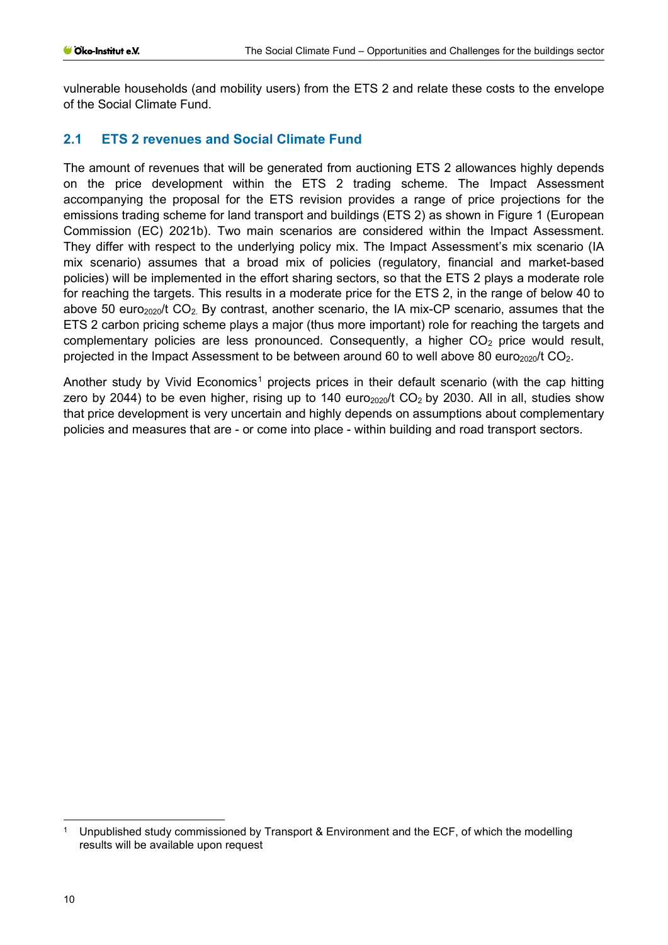vulnerable households (and mobility users) from the ETS 2 and relate these costs to the envelope of the Social Climate Fund.

# <span id="page-9-0"></span>**2.1 ETS 2 revenues and Social Climate Fund**

The amount of revenues that will be generated from auctioning ETS 2 allowances highly depends on the price development within the ETS 2 trading scheme. The Impact Assessment accompanying the proposal for the ETS revision provides a range of price projections for the emissions trading scheme for land transport and buildings (ETS 2) as shown in [Figure 1](#page-10-0) (European Commission (EC) 2021b). Two main scenarios are considered within the Impact Assessment. They differ with respect to the underlying policy mix. The Impact Assessment's mix scenario (IA mix scenario) assumes that a broad mix of policies (regulatory, financial and market-based policies) will be implemented in the effort sharing sectors, so that the ETS 2 plays a moderate role for reaching the targets. This results in a moderate price for the ETS 2, in the range of below 40 to above 50 euro<sub>2020</sub>/t CO<sub>2</sub>. By contrast, another scenario, the IA mix-CP scenario, assumes that the ETS 2 carbon pricing scheme plays a major (thus more important) role for reaching the targets and complementary policies are less pronounced. Consequently, a higher  $CO<sub>2</sub>$  price would result, projected in the Impact Assessment to be between around 60 to well above 80 euro $_{2020}/t$  CO<sub>2</sub>.

Another study by Vivid Economics<sup>[1](#page-9-1)</sup> projects prices in their default scenario (with the cap hitting zero by 2044) to be even higher, rising up to 140 euro<sub>2020</sub>/t CO<sub>2</sub> by 2030. All in all, studies show that price development is very uncertain and highly depends on assumptions about complementary policies and measures that are - or come into place - within building and road transport sectors.

<span id="page-9-1"></span><sup>1</sup> Unpublished study commissioned by Transport & Environment and the ECF, of which the modelling results will be available upon request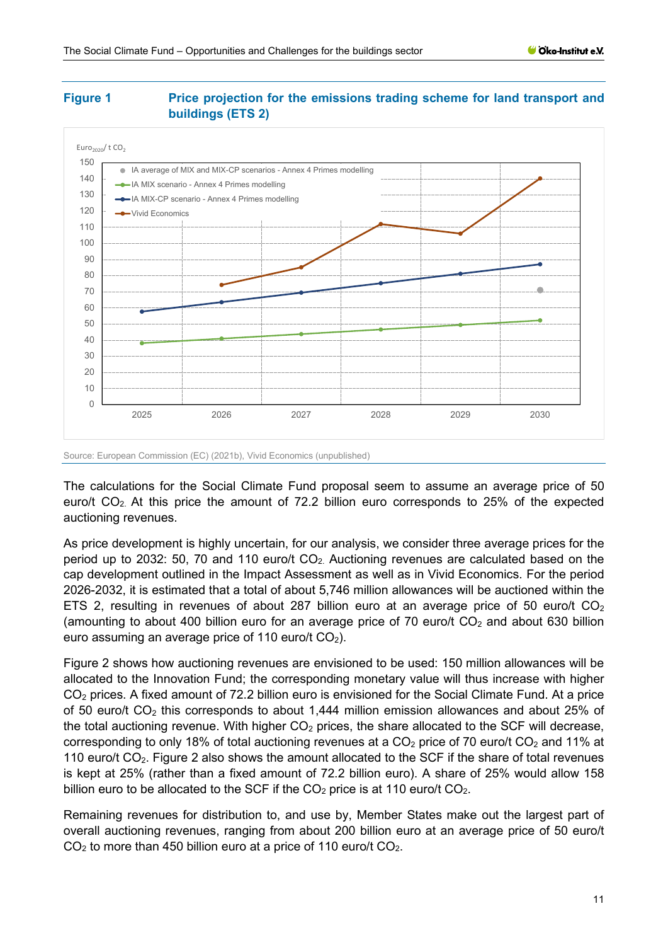#### <span id="page-10-0"></span>**Figure 1 Price projection for the emissions trading scheme for land transport and buildings (ETS 2)**



Source: European Commission (EC) (2021b), Vivid Economics (unpublished)

The calculations for the Social Climate Fund proposal seem to assume an average price of 50 euro/t CO<sub>2</sub>. At this price the amount of 72.2 billion euro corresponds to 25% of the expected auctioning revenues.

As price development is highly uncertain, for our analysis, we consider three average prices for the period up to 2032: 50, 70 and 110 euro/t  $CO<sub>2</sub>$ . Auctioning revenues are calculated based on the cap development outlined in the Impact Assessment as well as in Vivid Economics. For the period 2026-2032, it is estimated that a total of about 5,746 million allowances will be auctioned within the ETS 2, resulting in revenues of about 287 billion euro at an average price of 50 euro/t  $CO<sub>2</sub>$ (amounting to about 400 billion euro for an average price of 70 euro/t  $CO<sub>2</sub>$  and about 630 billion euro assuming an average price of 110 euro/t  $CO<sub>2</sub>$ ).

[Figure 2](#page-11-0) shows how auctioning revenues are envisioned to be used: 150 million allowances will be allocated to the Innovation Fund; the corresponding monetary value will thus increase with higher CO2 prices. A fixed amount of 72.2 billion euro is envisioned for the Social Climate Fund. At a price of 50 euro/t CO2 this corresponds to about 1,444 million emission allowances and about 25% of the total auctioning revenue. With higher  $CO<sub>2</sub>$  prices, the share allocated to the SCF will decrease, corresponding to only 18% of total auctioning revenues at a  $CO<sub>2</sub>$  price of 70 euro/t  $CO<sub>2</sub>$  and 11% at 110 euro/t  $CO<sub>2</sub>$ . [Figure 2](#page-11-0) also shows the amount allocated to the SCF if the share of total revenues is kept at 25% (rather than a fixed amount of 72.2 billion euro). A share of 25% would allow 158 billion euro to be allocated to the SCF if the  $CO<sub>2</sub>$  price is at 110 euro/t  $CO<sub>2</sub>$ .

Remaining revenues for distribution to, and use by, Member States make out the largest part of overall auctioning revenues, ranging from about 200 billion euro at an average price of 50 euro/t  $CO<sub>2</sub>$  to more than 450 billion euro at a price of 110 euro/t  $CO<sub>2</sub>$ .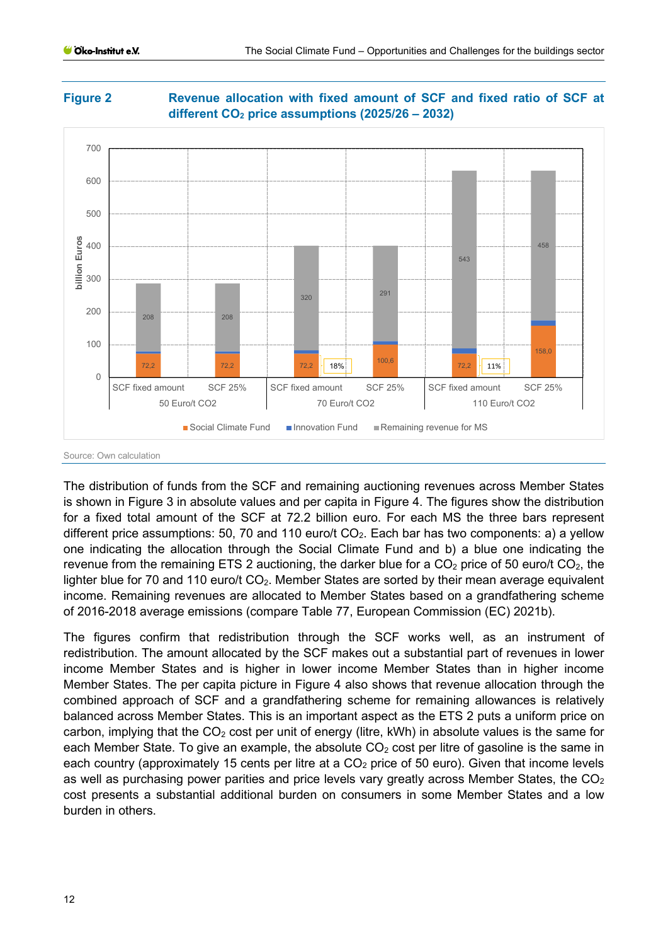<span id="page-11-0"></span>



The distribution of funds from the SCF and remaining auctioning revenues across Member States is shown in [Figure 3](#page-12-0) in absolute values and per capita in [Figure 4.](#page-12-1) The figures show the distribution for a fixed total amount of the SCF at 72.2 billion euro. For each MS the three bars represent different price assumptions: 50, 70 and 110 euro/t  $CO<sub>2</sub>$ . Each bar has two components: a) a yellow one indicating the allocation through the Social Climate Fund and b) a blue one indicating the revenue from the remaining ETS 2 auctioning, the darker blue for a  $CO<sub>2</sub>$  price of 50 euro/t  $CO<sub>2</sub>$ , the lighter blue for 70 and 110 euro/t CO<sub>2</sub>. Member States are sorted by their mean average equivalent income. Remaining revenues are allocated to Member States based on a grandfathering scheme of 2016-2018 average emissions (compare Table 77, European Commission (EC) 2021b).

The figures confirm that redistribution through the SCF works well, as an instrument of redistribution. The amount allocated by the SCF makes out a substantial part of revenues in lower income Member States and is higher in lower income Member States than in higher income Member States. The per capita picture in [Figure 4](#page-12-1) also shows that revenue allocation through the combined approach of SCF and a grandfathering scheme for remaining allowances is relatively balanced across Member States. This is an important aspect as the ETS 2 puts a uniform price on carbon, implying that the  $CO<sub>2</sub>$  cost per unit of energy (litre, kWh) in absolute values is the same for each Member State. To give an example, the absolute  $CO<sub>2</sub>$  cost per litre of gasoline is the same in each country (approximately 15 cents per litre at a  $CO<sub>2</sub>$  price of 50 euro). Given that income levels as well as purchasing power parities and price levels vary greatly across Member States, the  $CO<sub>2</sub>$ cost presents a substantial additional burden on consumers in some Member States and a low burden in others.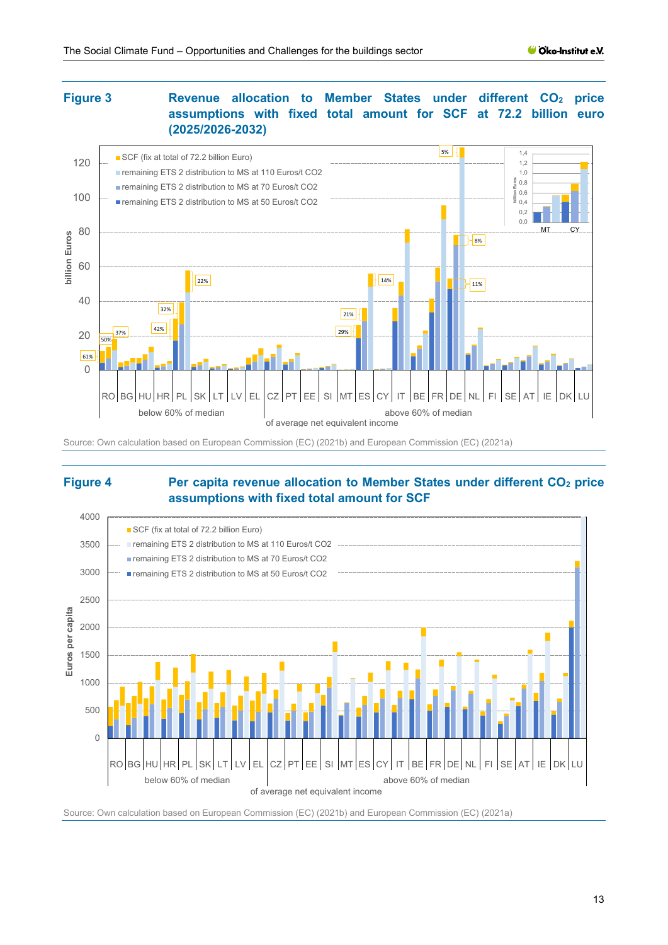# <span id="page-12-0"></span>**Figure 3 Revenue allocation to Member States under different CO<sub>2</sub> price assumptions with fixed total amount for SCF at 72.2 billion euro (2025/2026-2032)**



#### Source: Own calculation based on European Commission (EC) (2021b) and European Commission (EC) (2021a)

#### <span id="page-12-1"></span>**Figure 4 Per capita revenue allocation to Member States under different CO<sub>2</sub> price assumptions with fixed total amount for SCF**



Source: Own calculation based on European Commission (EC) (2021b) and European Commission (EC) (2021a)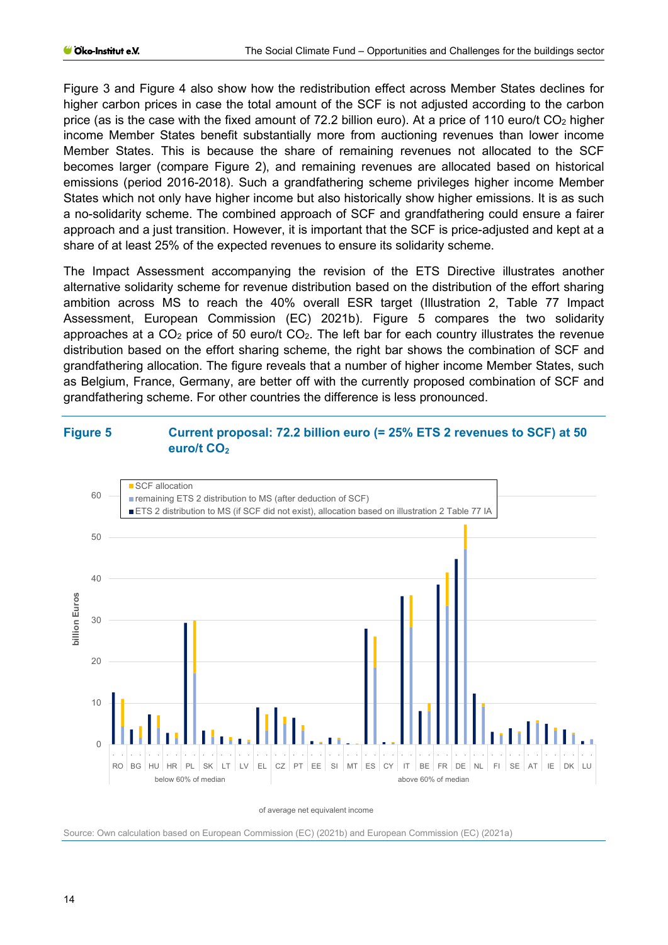[Figure 3](#page-12-0) and [Figure 4](#page-12-1) also show how the redistribution effect across Member States declines for higher carbon prices in case the total amount of the SCF is not adjusted according to the carbon price (as is the case with the fixed amount of 72.2 billion euro). At a price of 110 euro/t  $CO<sub>2</sub>$  higher income Member States benefit substantially more from auctioning revenues than lower income Member States. This is because the share of remaining revenues not allocated to the SCF becomes larger (compare [Figure 2\)](#page-11-0), and remaining revenues are allocated based on historical emissions (period 2016-2018). Such a grandfathering scheme privileges higher income Member States which not only have higher income but also historically show higher emissions. It is as such a no-solidarity scheme. The combined approach of SCF and grandfathering could ensure a fairer approach and a just transition. However, it is important that the SCF is price-adjusted and kept at a share of at least 25% of the expected revenues to ensure its solidarity scheme.

The Impact Assessment accompanying the revision of the ETS Directive illustrates another alternative solidarity scheme for revenue distribution based on the distribution of the effort sharing ambition across MS to reach the 40% overall ESR target (Illustration 2, Table 77 Impact Assessment, European Commission (EC) 2021b). [Figure 5](#page-13-0) compares the two solidarity approaches at a  $CO<sub>2</sub>$  price of 50 euro/t  $CO<sub>2</sub>$ . The left bar for each country illustrates the revenue distribution based on the effort sharing scheme, the right bar shows the combination of SCF and grandfathering allocation. The figure reveals that a number of higher income Member States, such as Belgium, France, Germany, are better off with the currently proposed combination of SCF and grandfathering scheme. For other countries the difference is less pronounced.

### <span id="page-13-0"></span>**Figure 5 Current proposal: 72.2 billion euro (= 25% ETS 2 revenues to SCF) at 50**  euro/t CO<sub>2</sub>



of average net equivalent income

Source: Own calculation based on European Commission (EC) (2021b) and European Commission (EC) (2021a)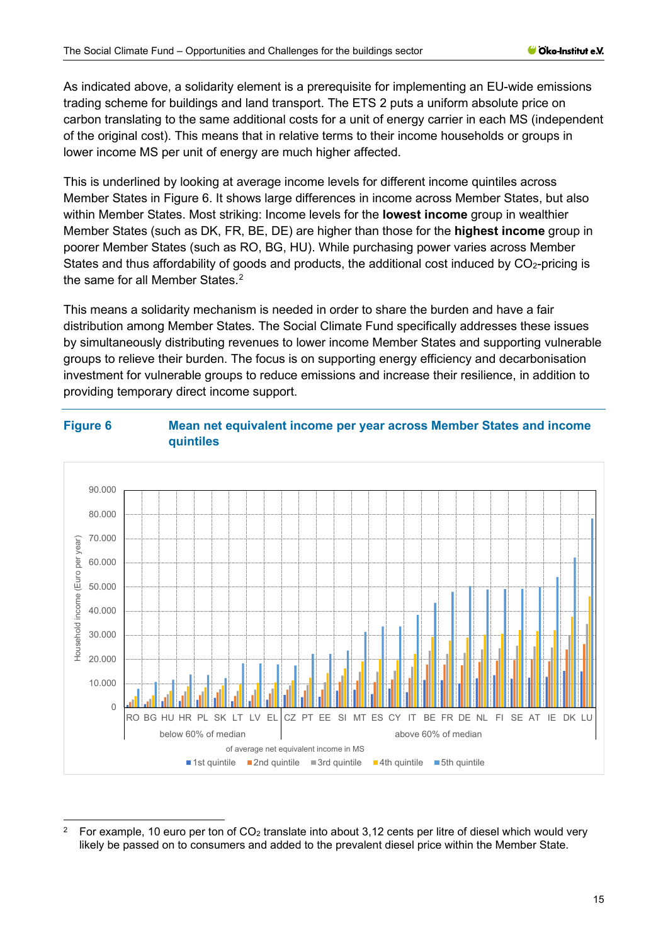As indicated above, a solidarity element is a prerequisite for implementing an EU-wide emissions trading scheme for buildings and land transport. The ETS 2 puts a uniform absolute price on carbon translating to the same additional costs for a unit of energy carrier in each MS (independent of the original cost). This means that in relative terms to their income households or groups in lower income MS per unit of energy are much higher affected.

This is underlined by looking at average income levels for different income quintiles across Member States in [Figure 6.](#page-14-0) It shows large differences in income across Member States, but also within Member States. Most striking: Income levels for the **lowest income** group in wealthier Member States (such as DK, FR, BE, DE) are higher than those for the **highest income** group in poorer Member States (such as RO, BG, HU). While purchasing power varies across Member States and thus affordability of goods and products, the additional cost induced by  $CO<sub>2</sub>$ -pricing is the same for all Member States.<sup>[2](#page-14-1)</sup>

This means a solidarity mechanism is needed in order to share the burden and have a fair distribution among Member States. The Social Climate Fund specifically addresses these issues by simultaneously distributing revenues to lower income Member States and supporting vulnerable groups to relieve their burden. The focus is on supporting energy efficiency and decarbonisation investment for vulnerable groups to reduce emissions and increase their resilience, in addition to providing temporary direct income support.

<span id="page-14-0"></span>



<span id="page-14-1"></span><sup>&</sup>lt;sup>2</sup> For example, 10 euro per ton of CO<sub>2</sub> translate into about 3,12 cents per litre of diesel which would very likely be passed on to consumers and added to the prevalent diesel price within the Member State.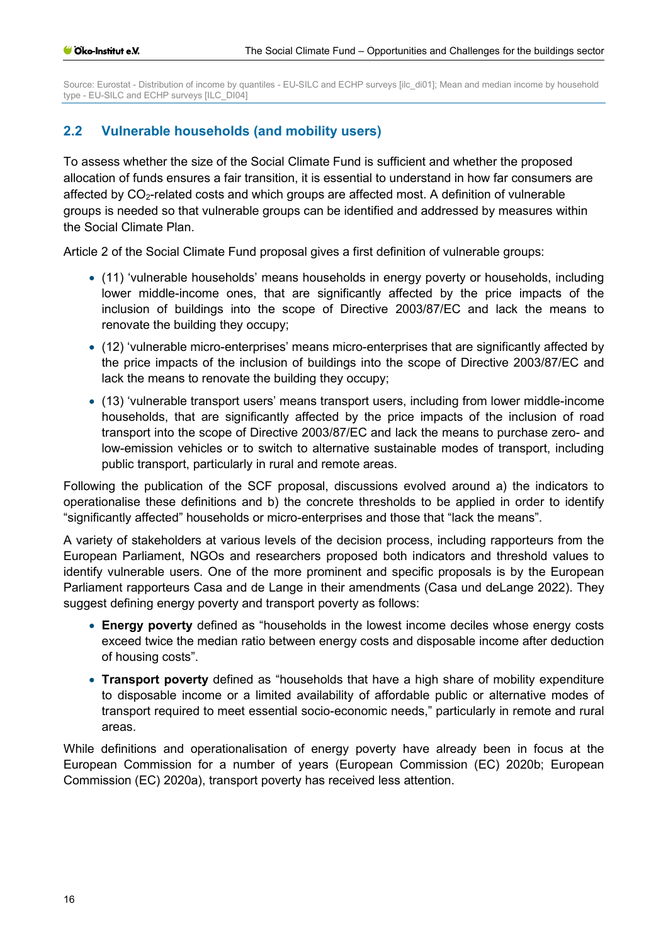Source: Eurostat - Distribution of income by quantiles - EU-SILC and ECHP surveys [ilc\_di01]; Mean and median income by household type - EU-SILC and ECHP surveys [ILC\_DI04]

# <span id="page-15-0"></span>**2.2 Vulnerable households (and mobility users)**

To assess whether the size of the Social Climate Fund is sufficient and whether the proposed allocation of funds ensures a fair transition, it is essential to understand in how far consumers are affected by CO2-related costs and which groups are affected most. A definition of vulnerable groups is needed so that vulnerable groups can be identified and addressed by measures within the Social Climate Plan.

Article 2 of the Social Climate Fund proposal gives a first definition of vulnerable groups:

- (11) 'vulnerable households' means households in energy poverty or households, including lower middle-income ones, that are significantly affected by the price impacts of the inclusion of buildings into the scope of Directive 2003/87/EC and lack the means to renovate the building they occupy;
- (12) 'vulnerable micro-enterprises' means micro-enterprises that are significantly affected by the price impacts of the inclusion of buildings into the scope of Directive 2003/87/EC and lack the means to renovate the building they occupy;
- (13) 'vulnerable transport users' means transport users, including from lower middle-income households, that are significantly affected by the price impacts of the inclusion of road transport into the scope of Directive 2003/87/EC and lack the means to purchase zero- and low-emission vehicles or to switch to alternative sustainable modes of transport, including public transport, particularly in rural and remote areas.

Following the publication of the SCF proposal, discussions evolved around a) the indicators to operationalise these definitions and b) the concrete thresholds to be applied in order to identify "significantly affected" households or micro-enterprises and those that "lack the means".

A variety of stakeholders at various levels of the decision process, including rapporteurs from the European Parliament, NGOs and researchers proposed both indicators and threshold values to identify vulnerable users. One of the more prominent and specific proposals is by the European Parliament rapporteurs Casa and de Lange in their amendments (Casa und deLange 2022). They suggest defining energy poverty and transport poverty as follows:

- **Energy poverty** defined as "households in the lowest income deciles whose energy costs exceed twice the median ratio between energy costs and disposable income after deduction of housing costs".
- **Transport poverty** defined as "households that have a high share of mobility expenditure to disposable income or a limited availability of affordable public or alternative modes of transport required to meet essential socio-economic needs," particularly in remote and rural areas.

While definitions and operationalisation of energy poverty have already been in focus at the European Commission for a number of years (European Commission (EC) 2020b; European Commission (EC) 2020a), transport poverty has received less attention.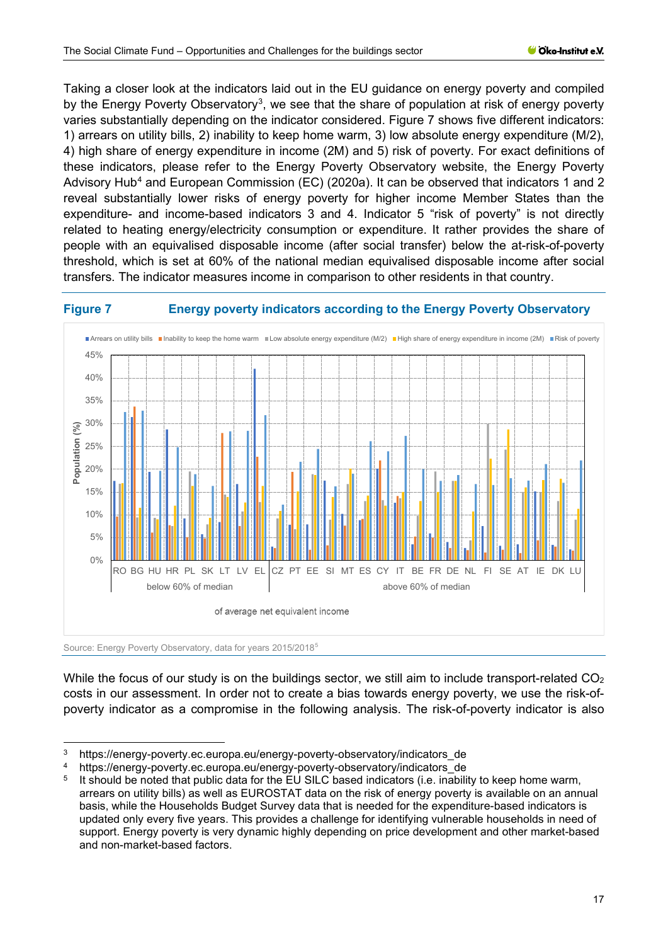Taking a closer look at the indicators laid out in the EU guidance on energy poverty and compiled by the Energy Poverty Observatory<sup>[3](#page-16-1)</sup>, we see that the share of population at risk of energy poverty varies substantially depending on the indicator considered. [Figure 7](#page-16-0) shows five different indicators: 1) arrears on utility bills, 2) inability to keep home warm, 3) low absolute energy expenditure (M/2), 4) high share of energy expenditure in income (2M) and 5) risk of poverty. For exact definitions of these indicators, please refer to the Energy Poverty Observatory website, the Energy Poverty Advisory Hub<sup>[4](#page-16-2)</sup> and European Commission (EC) (2020a). It can be observed that indicators 1 and 2 reveal substantially lower risks of energy poverty for higher income Member States than the expenditure- and income-based indicators 3 and 4. Indicator 5 "risk of poverty" is not directly related to heating energy/electricity consumption or expenditure. It rather provides the share of people with an equivalised disposable income (after social transfer) below the at-risk-of-poverty threshold, which is set at 60% of the national median equivalised disposable income after social transfers. The indicator measures income in comparison to other residents in that country.

# <span id="page-16-0"></span>**Figure 7 Energy poverty indicators according to the Energy Poverty Observatory**



While the focus of our study is on the buildings sector, we still aim to include transport-related CO<sub>2</sub> costs in our assessment. In order not to create a bias towards energy poverty, we use the risk-of-

poverty indicator as a compromise in the following analysis. The risk-of-poverty indicator is also

<span id="page-16-1"></span><sup>3</sup> https://energy-poverty.ec.europa.eu/energy-poverty-observatory/indicators\_de

<span id="page-16-2"></span><sup>4</sup> https://energy-poverty.ec.europa.eu/energy-poverty-observatory/indicators\_de

<span id="page-16-3"></span>It should be noted that public data for the EU SILC based indicators (i.e. inability to keep home warm, arrears on utility bills) as well as EUROSTAT data on the risk of energy poverty is available on an annual basis, while the Households Budget Survey data that is needed for the expenditure-based indicators is updated only every five years. This provides a challenge for identifying vulnerable households in need of support. Energy poverty is very dynamic highly depending on price development and other market-based and non-market-based factors.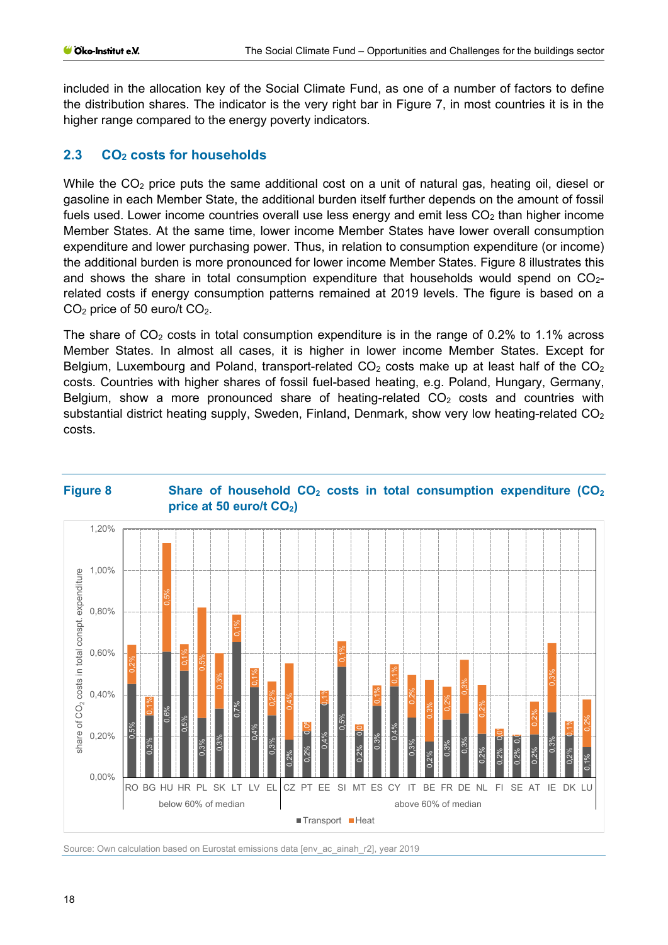included in the allocation key of the Social Climate Fund, as one of a number of factors to define the distribution shares. The indicator is the very right bar in [Figure 7,](#page-16-0) in most countries it is in the higher range compared to the energy poverty indicators.

# <span id="page-17-0"></span>2.3 CO<sub>2</sub> costs for households

While the CO<sub>2</sub> price puts the same additional cost on a unit of natural gas, heating oil, diesel or gasoline in each Member State, the additional burden itself further depends on the amount of fossil fuels used. Lower income countries overall use less energy and emit less  $CO<sub>2</sub>$  than higher income Member States. At the same time, lower income Member States have lower overall consumption expenditure and lower purchasing power. Thus, in relation to consumption expenditure (or income) the additional burden is more pronounced for lower income Member States. [Figure 8](#page-17-1) illustrates this and shows the share in total consumption expenditure that households would spend on  $CO<sub>2</sub>$ related costs if energy consumption patterns remained at 2019 levels. The figure is based on a CO2 price of 50 euro/t CO2.

The share of  $CO<sub>2</sub>$  costs in total consumption expenditure is in the range of 0.2% to 1.1% across Member States. In almost all cases, it is higher in lower income Member States. Except for Belgium, Luxembourg and Poland, transport-related  $CO<sub>2</sub>$  costs make up at least half of the  $CO<sub>2</sub>$ costs. Countries with higher shares of fossil fuel-based heating, e.g. Poland, Hungary, Germany, Belgium, show a more pronounced share of heating-related  $CO<sub>2</sub>$  costs and countries with substantial district heating supply, Sweden, Finland, Denmark, show very low heating-related  $CO<sub>2</sub>$ costs.



#### <span id="page-17-1"></span>**Figure 8 Share of household CO<sub>2</sub> costs in total consumption expenditure (CO<sub>2</sub>) price at 50 euro/t CO2)**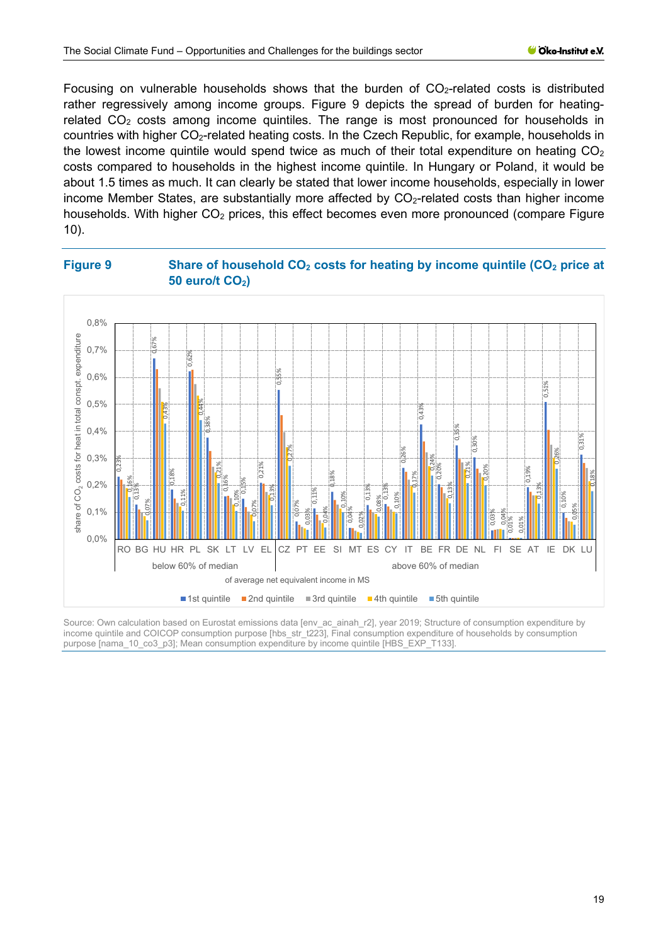Focusing on vulnerable households shows that the burden of  $CO<sub>2</sub>$ -related costs is distributed rather regressively among income groups. [Figure 9](#page-18-0) depicts the spread of burden for heatingrelated  $CO<sub>2</sub>$  costs among income quintiles. The range is most pronounced for households in countries with higher CO<sub>2</sub>-related heating costs. In the Czech Republic, for example, households in the lowest income quintile would spend twice as much of their total expenditure on heating  $CO<sub>2</sub>$ costs compared to households in the highest income quintile. In Hungary or Poland, it would be about 1.5 times as much. It can clearly be stated that lower income households, especially in lower income Member States, are substantially more affected by CO<sub>2</sub>-related costs than higher income households. With higher  $CO<sub>2</sub>$  prices, this effect becomes even more pronounced (compare Figure [10\)](#page-19-0).

# <span id="page-18-0"></span>**Figure 9 Share of household CO<sub>2</sub> costs for heating by income quintile (CO<sub>2</sub> price at 50 euro/t CO<sub>2</sub>)**



Source: Own calculation based on Eurostat emissions data [env\_ac\_ainah\_r2], year 2019; Structure of consumption expenditure by income quintile and COICOP consumption purpose [hbs\_str\_t223], Final consumption expenditure of households by consumption<br>purpose [nama\_10\_co3\_p3]; Mean consumption expenditure by income quintile [HBS\_EXP\_T133].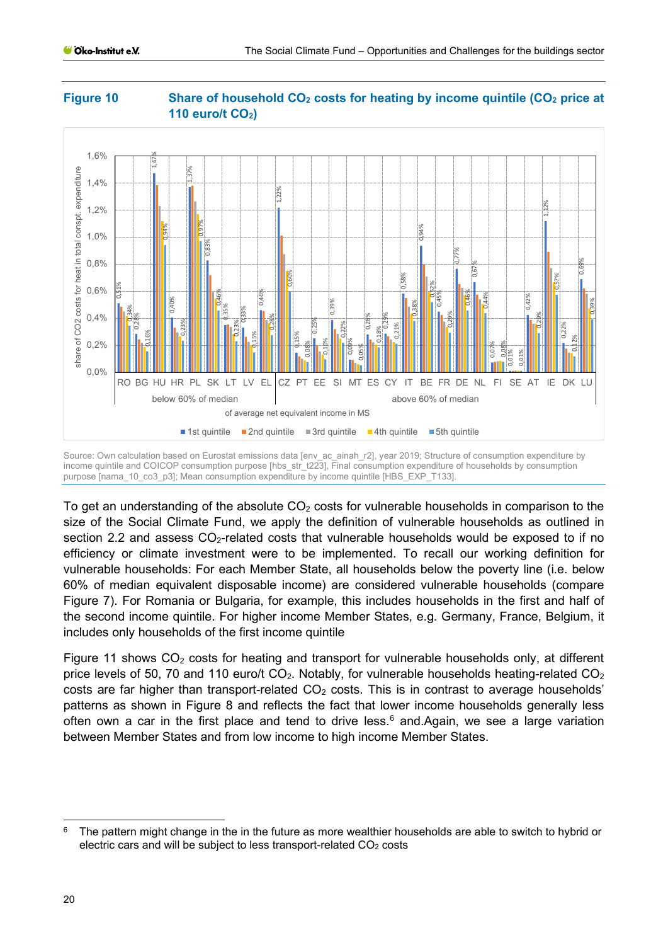

# <span id="page-19-0"></span>**Figure 10 Share of household CO<sub>2</sub> costs for heating by income quintile (CO<sub>2</sub> price at 110 euro/t CO<sub>2</sub>)**

Source: Own calculation based on Eurostat emissions data [env ac ainah r2], year 2019; Structure of consumption expenditure by income quintile and COICOP consumption purpose [hbs str t223], Final consumption expenditure of households by consumption purpose [nama\_10\_co3\_p3]; Mean consumption expenditure by income quintile [HBS\_EXP\_T133].

To get an understanding of the absolute  $CO<sub>2</sub>$  costs for vulnerable households in comparison to the size of the Social Climate Fund, we apply the definition of vulnerable households as outlined in section [2.2](#page-15-0) and assess  $CO<sub>2</sub>$ -related costs that vulnerable households would be exposed to if no efficiency or climate investment were to be implemented. To recall our working definition for vulnerable households: For each Member State, all households below the poverty line (i.e. below 60% of median equivalent disposable income) are considered vulnerable households (compare [Figure 7\)](#page-16-0). For Romania or Bulgaria, for example, this includes households in the first and half of the second income quintile. For higher income Member States, e.g. Germany, France, Belgium, it includes only households of the first income quintile

[Figure 11](#page-20-0) shows  $CO<sub>2</sub>$  costs for heating and transport for vulnerable households only, at different price levels of 50, 70 and 110 euro/t  $CO<sub>2</sub>$ . Notably, for vulnerable households heating-related  $CO<sub>2</sub>$ costs are far higher than transport-related  $CO<sub>2</sub>$  costs. This is in contrast to average households' patterns as shown in [Figure 8](#page-17-1) and reflects the fact that lower income households generally less often own a car in the first place and tend to drive less. [6](#page-19-1) and.Again, we see a large variation between Member States and from low income to high income Member States.

<span id="page-19-1"></span> $6$  The pattern might change in the in the future as more wealthier households are able to switch to hybrid or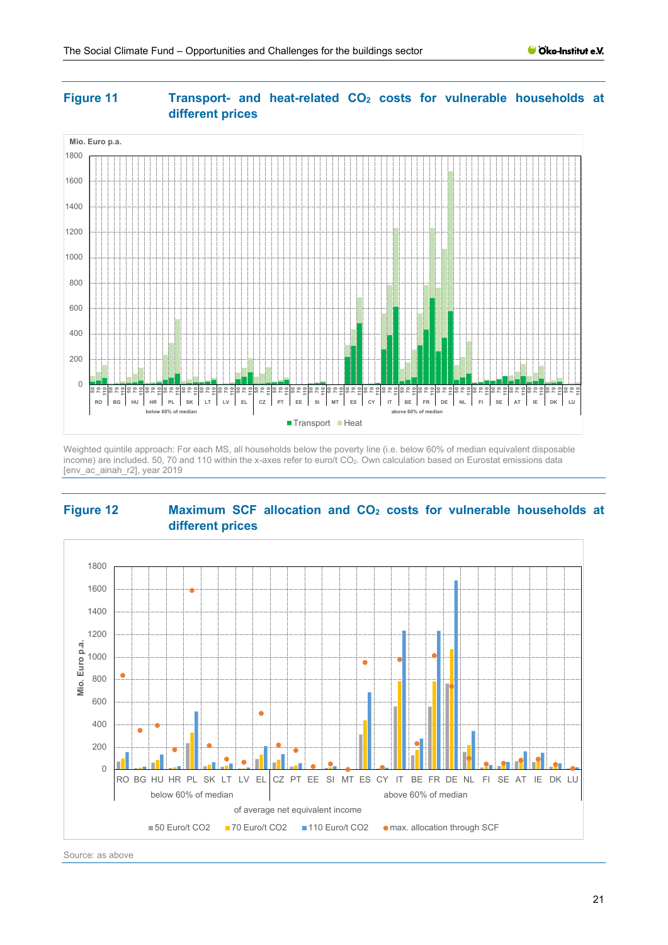

# <span id="page-20-0"></span>Figure 11 **Transport-** and heat-related CO<sub>2</sub> costs for vulnerable households at **different prices**

Weighted quintile approach: For each MS, all households below the poverty line (i.e. below 60% of median equivalent disposable income) are included. 50, 70 and 110 within the x-axes refer to euro/t CO2. Own calculation based on Eurostat emissions data [env\_ac\_ainah\_r2], year 2019

### <span id="page-20-1"></span>**Figure 12 Maximum SCF allocation and CO<sub>2</sub> costs for vulnerable households at different prices**



Source: as above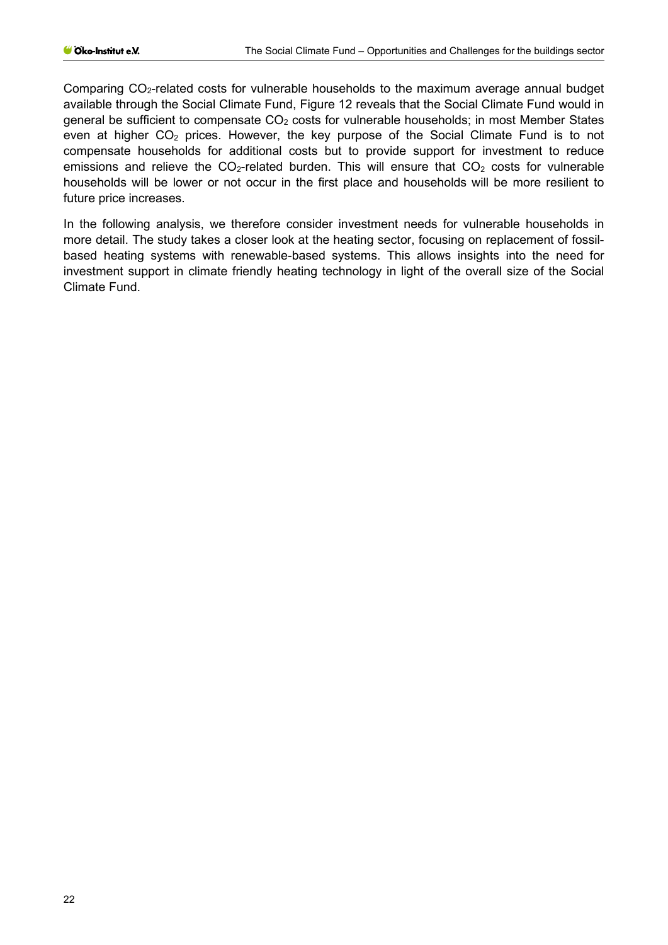Comparing CO2-related costs for vulnerable households to the maximum average annual budget available through the Social Climate Fund, [Figure 12](#page-20-1) reveals that the Social Climate Fund would in general be sufficient to compensate  $CO<sub>2</sub>$  costs for vulnerable households; in most Member States even at higher  $CO<sub>2</sub>$  prices. However, the key purpose of the Social Climate Fund is to not compensate households for additional costs but to provide support for investment to reduce emissions and relieve the  $CO<sub>2</sub>$ -related burden. This will ensure that  $CO<sub>2</sub>$  costs for vulnerable households will be lower or not occur in the first place and households will be more resilient to future price increases.

In the following analysis, we therefore consider investment needs for vulnerable households in more detail. The study takes a closer look at the heating sector, focusing on replacement of fossilbased heating systems with renewable-based systems. This allows insights into the need for investment support in climate friendly heating technology in light of the overall size of the Social Climate Fund.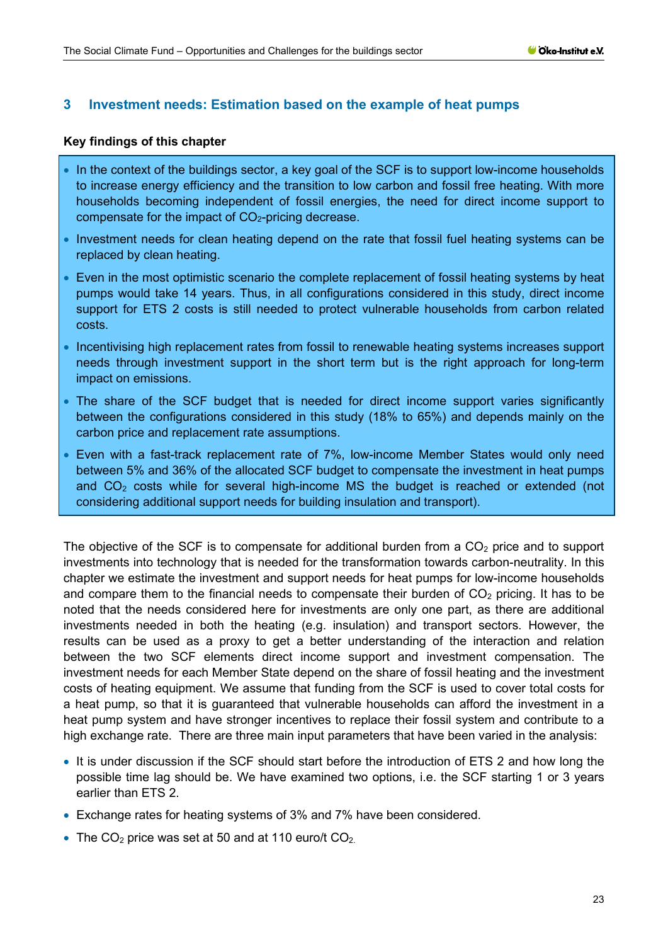### <span id="page-22-0"></span>**3 Investment needs: Estimation based on the example of heat pumps**

#### **Key findings of this chapter**

- In the context of the buildings sector, a key goal of the SCF is to support low-income households to increase energy efficiency and the transition to low carbon and fossil free heating. With more households becoming independent of fossil energies, the need for direct income support to compensate for the impact of  $CO<sub>2</sub>$ -pricing decrease.
- Investment needs for clean heating depend on the rate that fossil fuel heating systems can be replaced by clean heating.
- Even in the most optimistic scenario the complete replacement of fossil heating systems by heat pumps would take 14 years. Thus, in all configurations considered in this study, direct income support for ETS 2 costs is still needed to protect vulnerable households from carbon related costs.
- Incentivising high replacement rates from fossil to renewable heating systems increases support needs through investment support in the short term but is the right approach for long-term impact on emissions.
- The share of the SCF budget that is needed for direct income support varies significantly between the configurations considered in this study (18% to 65%) and depends mainly on the carbon price and replacement rate assumptions.
- Even with a fast-track replacement rate of 7%, low-income Member States would only need between 5% and 36% of the allocated SCF budget to compensate the investment in heat pumps and  $CO<sub>2</sub>$  costs while for several high-income MS the budget is reached or extended (not considering additional support needs for building insulation and transport).

The objective of the SCF is to compensate for additional burden from a  $CO<sub>2</sub>$  price and to support investments into technology that is needed for the transformation towards carbon-neutrality. In this chapter we estimate the investment and support needs for heat pumps for low-income households and compare them to the financial needs to compensate their burden of  $CO<sub>2</sub>$  pricing. It has to be noted that the needs considered here for investments are only one part, as there are additional investments needed in both the heating (e.g. insulation) and transport sectors. However, the results can be used as a proxy to get a better understanding of the interaction and relation between the two SCF elements direct income support and investment compensation. The investment needs for each Member State depend on the share of fossil heating and the investment costs of heating equipment. We assume that funding from the SCF is used to cover total costs for a heat pump, so that it is guaranteed that vulnerable households can afford the investment in a heat pump system and have stronger incentives to replace their fossil system and contribute to a high exchange rate. There are three main input parameters that have been varied in the analysis:

- It is under discussion if the SCF should start before the introduction of ETS 2 and how long the possible time lag should be. We have examined two options, i.e. the SCF starting 1 or 3 years earlier than ETS 2.
- Exchange rates for heating systems of 3% and 7% have been considered.
- The  $CO<sub>2</sub>$  price was set at 50 and at 110 euro/t  $CO<sub>2</sub>$ .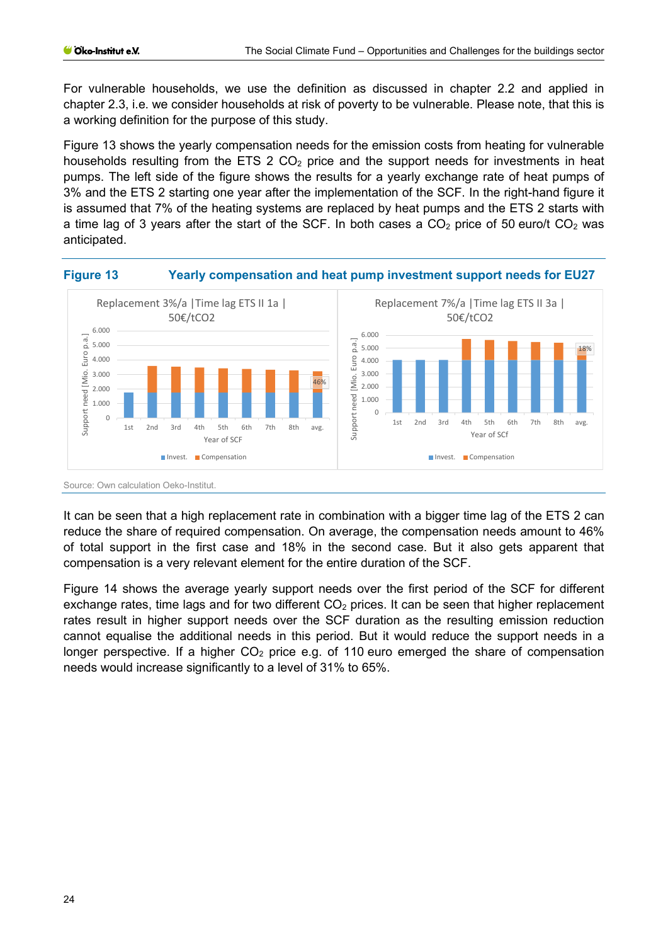For vulnerable households, we use the definition as discussed in chapter [2.2](#page-15-0) and applied in chapter [2.3,](#page-17-0) i.e. we consider households at risk of poverty to be vulnerable. Please note, that this is a working definition for the purpose of this study.

[Figure 13](#page-23-0) shows the yearly compensation needs for the emission costs from heating for vulnerable households resulting from the ETS  $2 CO<sub>2</sub>$  price and the support needs for investments in heat pumps. The left side of the figure shows the results for a yearly exchange rate of heat pumps of 3% and the ETS 2 starting one year after the implementation of the SCF. In the right-hand figure it is assumed that 7% of the heating systems are replaced by heat pumps and the ETS 2 starts with a time lag of 3 years after the start of the SCF. In both cases a  $CO<sub>2</sub>$  price of 50 euro/t  $CO<sub>2</sub>$  was anticipated.

<span id="page-23-0"></span>

It can be seen that a high replacement rate in combination with a bigger time lag of the ETS 2 can reduce the share of required compensation. On average, the compensation needs amount to 46% of total support in the first case and 18% in the second case. But it also gets apparent that compensation is a very relevant element for the entire duration of the SCF.

[Figure 14](#page-24-0) shows the average yearly support needs over the first period of the SCF for different exchange rates, time lags and for two different  $CO<sub>2</sub>$  prices. It can be seen that higher replacement rates result in higher support needs over the SCF duration as the resulting emission reduction cannot equalise the additional needs in this period. But it would reduce the support needs in a longer perspective. If a higher  $CO<sub>2</sub>$  price e.g. of 110 euro emerged the share of compensation needs would increase significantly to a level of 31% to 65%.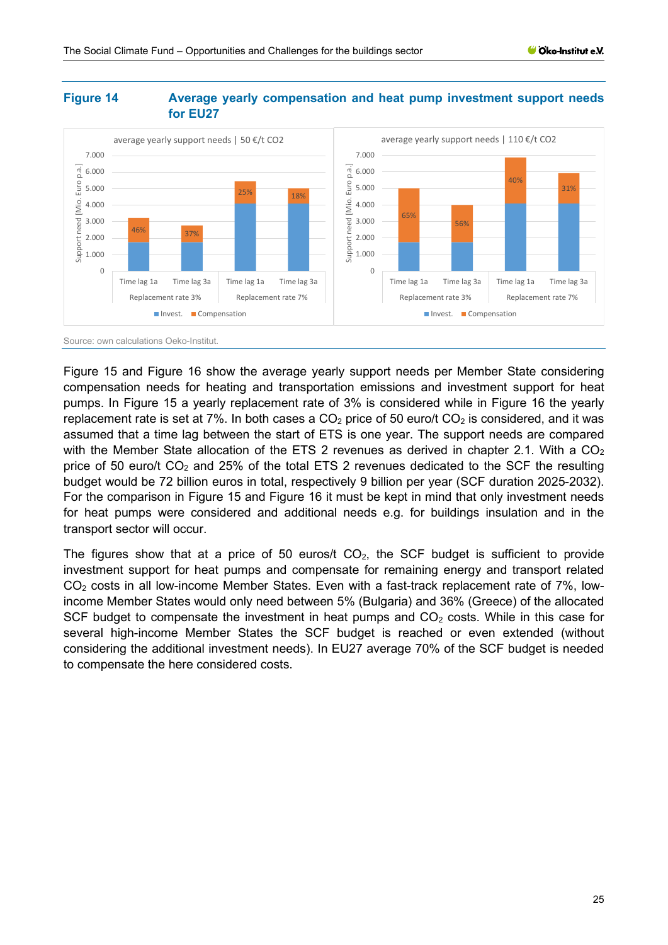#### <span id="page-24-0"></span>**Figure 14 Average yearly compensation and heat pump investment support needs for EU27**



[Figure 15](#page-25-0) and [Figure 16](#page-25-1) show the average yearly support needs per Member State considering compensation needs for heating and transportation emissions and investment support for heat pumps. In [Figure 15](#page-25-0) a yearly replacement rate of 3% is considered while in [Figure 16](#page-25-1) the yearly replacement rate is set at 7%. In both cases a  $CO<sub>2</sub>$  price of 50 euro/t  $CO<sub>2</sub>$  is considered, and it was assumed that a time lag between the start of ETS is one year. The support needs are compared with the Member State allocation of the ETS 2 revenues as derived in chapter [2.1.](#page-9-0) With a  $CO<sub>2</sub>$ price of 50 euro/t  $CO<sub>2</sub>$  and 25% of the total ETS 2 revenues dedicated to the SCF the resulting budget would be 72 billion euros in total, respectively 9 billion per year (SCF duration 2025-2032). For the comparison in [Figure 15](#page-25-0) and [Figure 16](#page-25-1) it must be kept in mind that only investment needs for heat pumps were considered and additional needs e.g. for buildings insulation and in the transport sector will occur.

The figures show that at a price of 50 euros/t  $CO<sub>2</sub>$ , the SCF budget is sufficient to provide investment support for heat pumps and compensate for remaining energy and transport related  $CO<sub>2</sub>$  costs in all low-income Member States. Even with a fast-track replacement rate of 7%, lowincome Member States would only need between 5% (Bulgaria) and 36% (Greece) of the allocated SCF budget to compensate the investment in heat pumps and  $CO<sub>2</sub>$  costs. While in this case for several high-income Member States the SCF budget is reached or even extended (without considering the additional investment needs). In EU27 average 70% of the SCF budget is needed to compensate the here considered costs.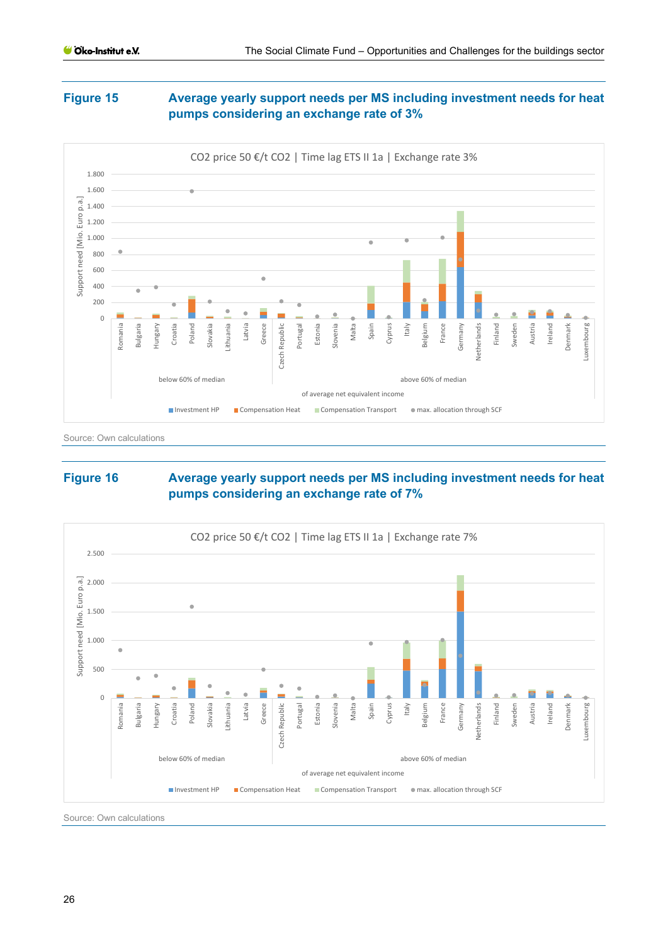# <span id="page-25-0"></span>**Figure 15 Average yearly support needs per MS including investment needs for heat pumps considering an exchange rate of 3%**



Source: Own calculations

### <span id="page-25-1"></span>**Figure 16 Average yearly support needs per MS including investment needs for heat pumps considering an exchange rate of 7%**



Source: Own calculations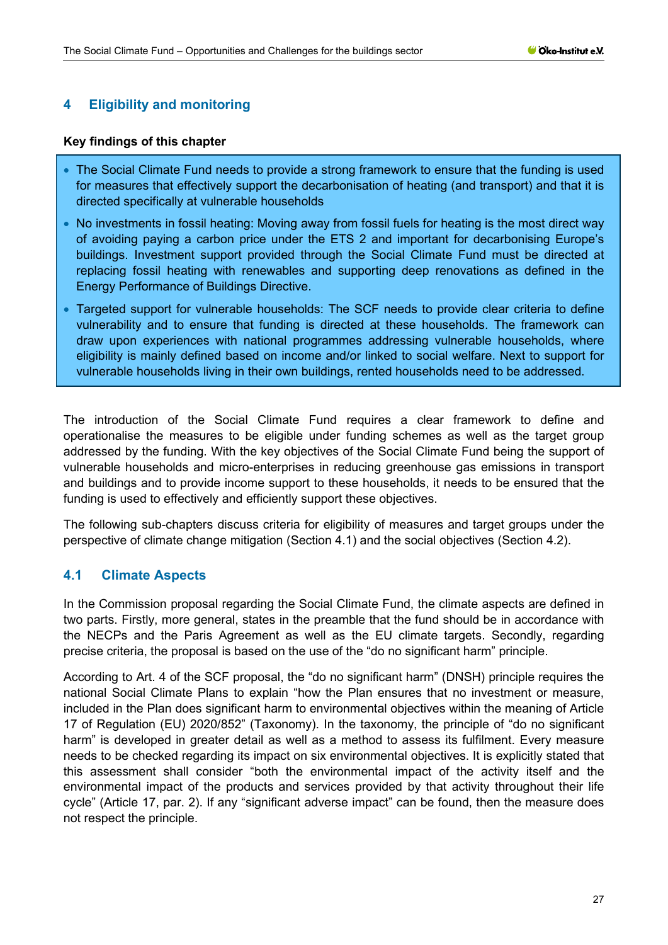# <span id="page-26-0"></span>**4 Eligibility and monitoring**

#### **Key findings of this chapter**

- The Social Climate Fund needs to provide a strong framework to ensure that the funding is used for measures that effectively support the decarbonisation of heating (and transport) and that it is directed specifically at vulnerable households
- No investments in fossil heating: Moving away from fossil fuels for heating is the most direct way of avoiding paying a carbon price under the ETS 2 and important for decarbonising Europe's buildings. Investment support provided through the Social Climate Fund must be directed at replacing fossil heating with renewables and supporting deep renovations as defined in the Energy Performance of Buildings Directive.
- Targeted support for vulnerable households: The SCF needs to provide clear criteria to define vulnerability and to ensure that funding is directed at these households. The framework can draw upon experiences with national programmes addressing vulnerable households, where eligibility is mainly defined based on income and/or linked to social welfare. Next to support for vulnerable households living in their own buildings, rented households need to be addressed.

The introduction of the Social Climate Fund requires a clear framework to define and operationalise the measures to be eligible under funding schemes as well as the target group addressed by the funding. With the key objectives of the Social Climate Fund being the support of vulnerable households and micro-enterprises in reducing greenhouse gas emissions in transport and buildings and to provide income support to these households, it needs to be ensured that the funding is used to effectively and efficiently support these objectives.

The following sub-chapters discuss criteria for eligibility of measures and target groups under the perspective of climate change mitigation (Section [4.1\)](#page-26-1) and the social objectives (Section [4.2\)](#page-27-0).

### <span id="page-26-1"></span>**4.1 Climate Aspects**

In the Commission proposal regarding the Social Climate Fund, the climate aspects are defined in two parts. Firstly, more general, states in the preamble that the fund should be in accordance with the NECPs and the Paris Agreement as well as the EU climate targets. Secondly, regarding precise criteria, the proposal is based on the use of the "do no significant harm" principle.

According to Art. 4 of the SCF proposal, the "do no significant harm" (DNSH) principle requires the national Social Climate Plans to explain "how the Plan ensures that no investment or measure, included in the Plan does significant harm to environmental objectives within the meaning of Article 17 of Regulation (EU) 2020/852" (Taxonomy). In the taxonomy, the principle of "do no significant harm" is developed in greater detail as well as a method to assess its fulfilment. Every measure needs to be checked regarding its impact on six environmental objectives. It is explicitly stated that this assessment shall consider "both the environmental impact of the activity itself and the environmental impact of the products and services provided by that activity throughout their life cycle" (Article 17, par. 2). If any "significant adverse impact" can be found, then the measure does not respect the principle.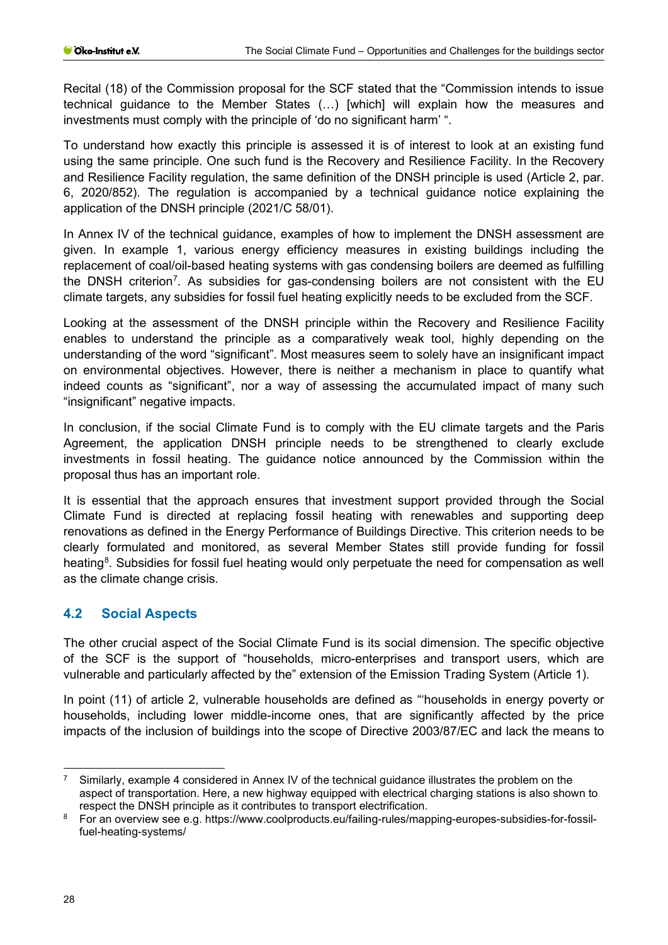Recital (18) of the Commission proposal for the SCF stated that the "Commission intends to issue technical guidance to the Member States (…) [which] will explain how the measures and investments must comply with the principle of 'do no significant harm' ".

To understand how exactly this principle is assessed it is of interest to look at an existing fund using the same principle. One such fund is the Recovery and Resilience Facility. In the Recovery and Resilience Facility regulation, the same definition of the DNSH principle is used (Article 2, par. 6, 2020/852). The regulation is accompanied by a technical guidance notice explaining the application of the DNSH principle (2021/C 58/01).

In Annex IV of the technical guidance, examples of how to implement the DNSH assessment are given. In example 1, various energy efficiency measures in existing buildings including the replacement of coal/oil-based heating systems with gas condensing boilers are deemed as fulfilling the DNSH criterion<sup>7</sup>. As subsidies for gas-condensing boilers are not consistent with the EU climate targets, any subsidies for fossil fuel heating explicitly needs to be excluded from the SCF.

Looking at the assessment of the DNSH principle within the Recovery and Resilience Facility enables to understand the principle as a comparatively weak tool, highly depending on the understanding of the word "significant". Most measures seem to solely have an insignificant impact on environmental objectives. However, there is neither a mechanism in place to quantify what indeed counts as "significant", nor a way of assessing the accumulated impact of many such "insignificant" negative impacts.

In conclusion, if the social Climate Fund is to comply with the EU climate targets and the Paris Agreement, the application DNSH principle needs to be strengthened to clearly exclude investments in fossil heating. The guidance notice announced by the Commission within the proposal thus has an important role.

It is essential that the approach ensures that investment support provided through the Social Climate Fund is directed at replacing fossil heating with renewables and supporting deep renovations as defined in the Energy Performance of Buildings Directive. This criterion needs to be clearly formulated and monitored, as several Member States still provide funding for fossil heating<sup>[8](#page-27-2)</sup>. Subsidies for fossil fuel heating would only perpetuate the need for compensation as well as the climate change crisis.

# <span id="page-27-0"></span>**4.2 Social Aspects**

The other crucial aspect of the Social Climate Fund is its social dimension. The specific objective of the SCF is the support of "households, micro-enterprises and transport users, which are vulnerable and particularly affected by the" extension of the Emission Trading System (Article 1).

In point (11) of article 2, vulnerable households are defined as "'households in energy poverty or households, including lower middle-income ones, that are significantly affected by the price impacts of the inclusion of buildings into the scope of Directive 2003/87/EC and lack the means to

<span id="page-27-1"></span><sup>7</sup> Similarly, example 4 considered in Annex IV of the technical guidance illustrates the problem on the aspect of transportation. Here, a new highway equipped with electrical charging stations is also shown to respect the DNSH principle as it contributes to transport electrification.

<span id="page-27-2"></span><sup>8</sup> For an overview see e.g. https://www.coolproducts.eu/failing-rules/mapping-europes-subsidies-for-fossilfuel-heating-systems/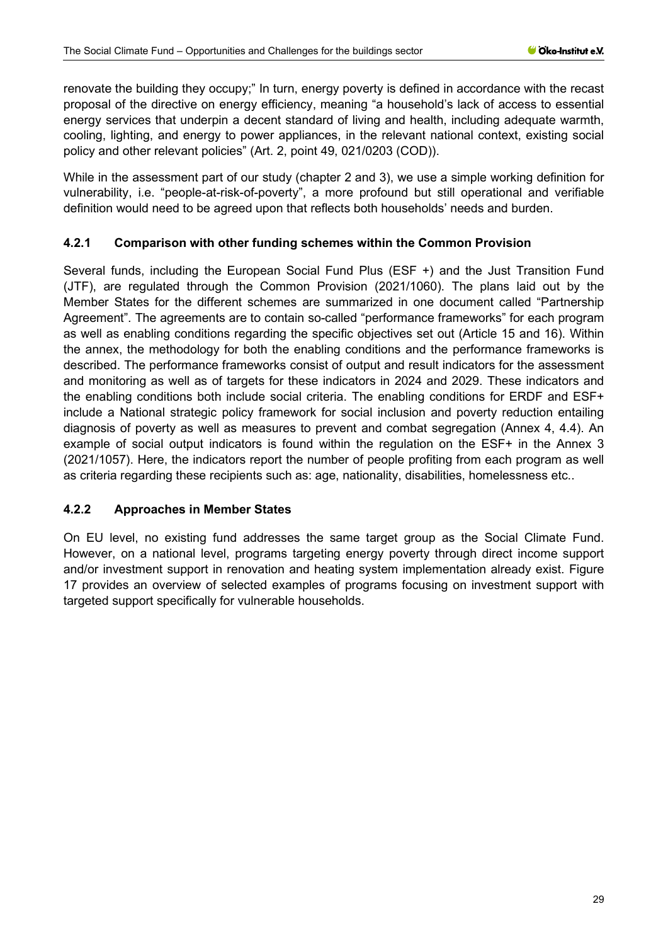renovate the building they occupy;" In turn, energy poverty is defined in accordance with the recast proposal of the directive on energy efficiency, meaning "a household's lack of access to essential energy services that underpin a decent standard of living and health, including adequate warmth, cooling, lighting, and energy to power appliances, in the relevant national context, existing social policy and other relevant policies" (Art. 2, point 49, 021/0203 (COD)).

While in the assessment part of our study (chapter [2](#page-8-0) and [3\)](#page-22-0), we use a simple working definition for vulnerability, i.e. "people-at-risk-of-poverty", a more profound but still operational and verifiable definition would need to be agreed upon that reflects both households' needs and burden.

### <span id="page-28-0"></span>**4.2.1 Comparison with other funding schemes within the Common Provision**

Several funds, including the European Social Fund Plus (ESF +) and the Just Transition Fund (JTF), are regulated through the Common Provision (2021/1060). The plans laid out by the Member States for the different schemes are summarized in one document called "Partnership Agreement". The agreements are to contain so-called "performance frameworks" for each program as well as enabling conditions regarding the specific objectives set out (Article 15 and 16). Within the annex, the methodology for both the enabling conditions and the performance frameworks is described. The performance frameworks consist of output and result indicators for the assessment and monitoring as well as of targets for these indicators in 2024 and 2029. These indicators and the enabling conditions both include social criteria. The enabling conditions for ERDF and ESF+ include a National strategic policy framework for social inclusion and poverty reduction entailing diagnosis of poverty as well as measures to prevent and combat segregation (Annex 4, 4.4). An example of social output indicators is found within the regulation on the ESF+ in the Annex 3 (2021/1057). Here, the indicators report the number of people profiting from each program as well as criteria regarding these recipients such as: age, nationality, disabilities, homelessness etc..

### <span id="page-28-1"></span>**4.2.2 Approaches in Member States**

On EU level, no existing fund addresses the same target group as the Social Climate Fund. However, on a national level, programs targeting energy poverty through direct income support and/or investment support in renovation and heating system implementation already exist. [Figure](#page-29-0)  [17](#page-29-0) provides an overview of selected examples of programs focusing on investment support with targeted support specifically for vulnerable households.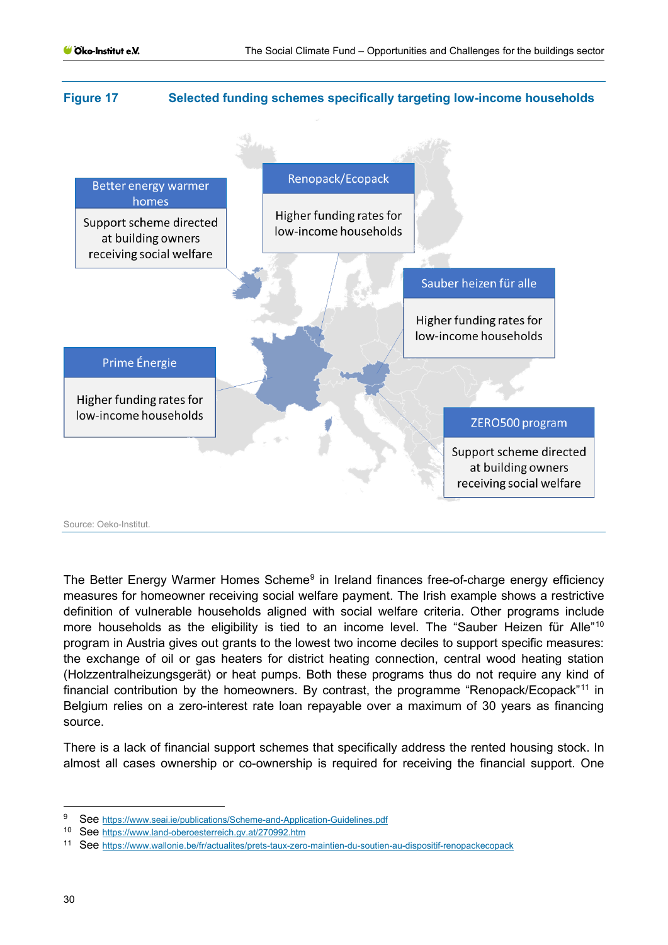#### <span id="page-29-0"></span>**Figure 17 Selected funding schemes specifically targeting low-income households**



The Better Energy Warmer Homes Scheme<sup>[9](#page-29-1)</sup> in Ireland finances free-of-charge energy efficiency measures for homeowner receiving social welfare payment. The Irish example shows a restrictive definition of vulnerable households aligned with social welfare criteria. Other programs include more households as the eligibility is tied to an income level. The "Sauber Heizen für Alle"<sup>[10](#page-29-2)</sup> program in Austria gives out grants to the lowest two income deciles to support specific measures: the exchange of oil or gas heaters for district heating connection, central wood heating station (Holzzentralheizungsgerät) or heat pumps. Both these programs thus do not require any kind of financial contribution by the homeowners. By contrast, the programme "Renopack/Ecopack"[11](#page-29-3) in Belgium relies on a zero-interest rate loan repayable over a maximum of 30 years as financing source.

There is a lack of financial support schemes that specifically address the rented housing stock. In almost all cases ownership or co-ownership is required for receiving the financial support. One

<span id="page-29-1"></span><sup>9</sup> See<https://www.seai.ie/publications/Scheme-and-Application-Guidelines.pdf>

<span id="page-29-2"></span><sup>10</sup> See<https://www.land-oberoesterreich.gv.at/270992.htm>

<span id="page-29-3"></span><sup>11</sup> See<https://www.wallonie.be/fr/actualites/prets-taux-zero-maintien-du-soutien-au-dispositif-renopackecopack>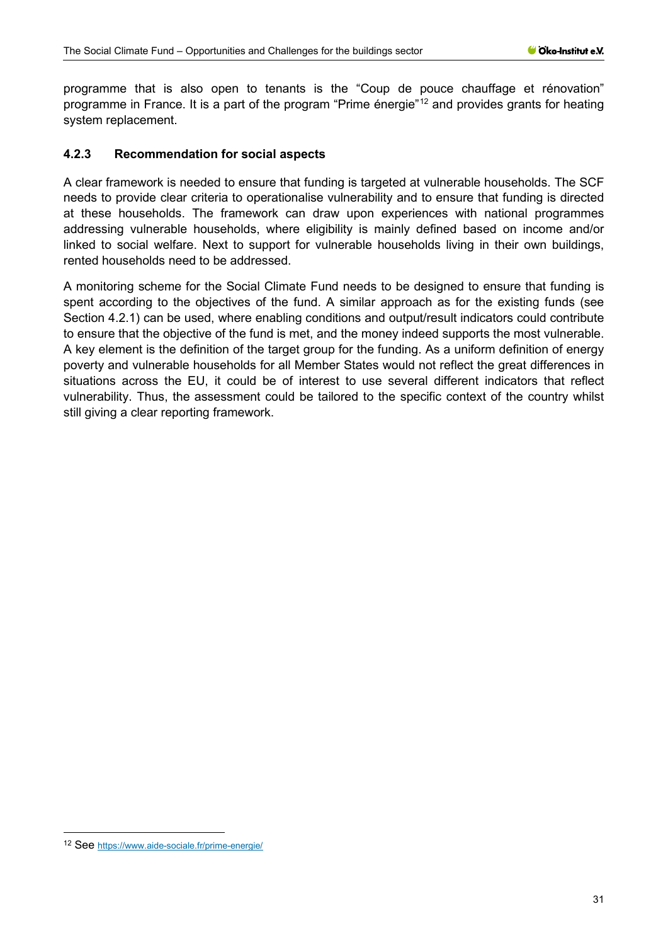programme that is also open to tenants is the "Coup de pouce chauffage et rénovation" programme in France. It is a part of the program "Prime énergie"<sup>[12](#page-30-1)</sup> and provides grants for heating system replacement.

# <span id="page-30-0"></span>**4.2.3 Recommendation for social aspects**

A clear framework is needed to ensure that funding is targeted at vulnerable households. The SCF needs to provide clear criteria to operationalise vulnerability and to ensure that funding is directed at these households. The framework can draw upon experiences with national programmes addressing vulnerable households, where eligibility is mainly defined based on income and/or linked to social welfare. Next to support for vulnerable households living in their own buildings, rented households need to be addressed.

A monitoring scheme for the Social Climate Fund needs to be designed to ensure that funding is spent according to the objectives of the fund. A similar approach as for the existing funds (see Section [4.2.1\)](#page-28-0) can be used, where enabling conditions and output/result indicators could contribute to ensure that the objective of the fund is met, and the money indeed supports the most vulnerable. A key element is the definition of the target group for the funding. As a uniform definition of energy poverty and vulnerable households for all Member States would not reflect the great differences in situations across the EU, it could be of interest to use several different indicators that reflect vulnerability. Thus, the assessment could be tailored to the specific context of the country whilst still giving a clear reporting framework.

<span id="page-30-1"></span><sup>12</sup> See<https://www.aide-sociale.fr/prime-energie/>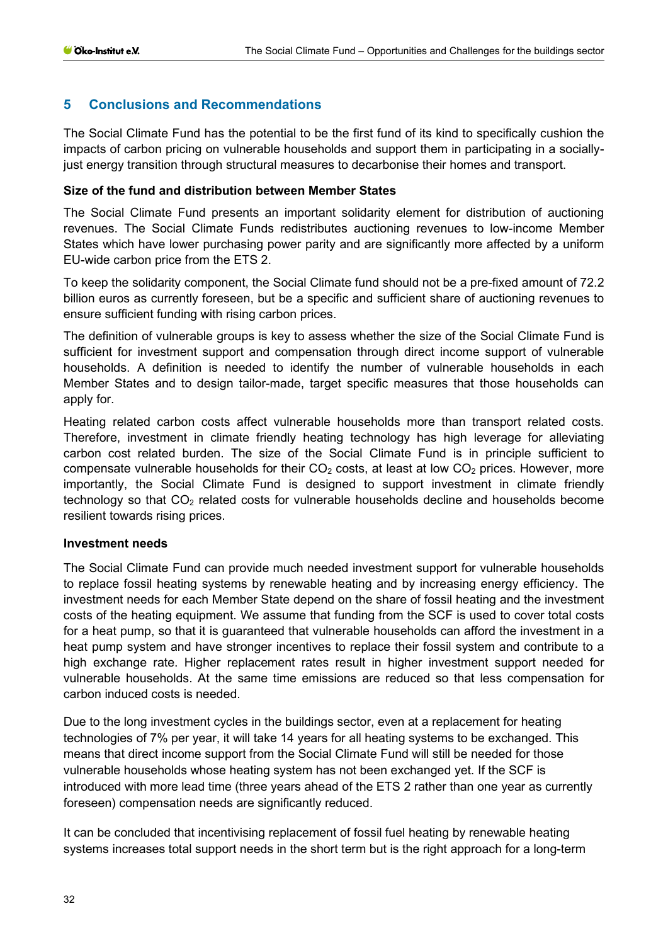### <span id="page-31-0"></span>**5 Conclusions and Recommendations**

The Social Climate Fund has the potential to be the first fund of its kind to specifically cushion the impacts of carbon pricing on vulnerable households and support them in participating in a sociallyjust energy transition through structural measures to decarbonise their homes and transport.

#### **Size of the fund and distribution between Member States**

The Social Climate Fund presents an important solidarity element for distribution of auctioning revenues. The Social Climate Funds redistributes auctioning revenues to low-income Member States which have lower purchasing power parity and are significantly more affected by a uniform EU-wide carbon price from the ETS 2.

To keep the solidarity component, the Social Climate fund should not be a pre-fixed amount of 72.2 billion euros as currently foreseen, but be a specific and sufficient share of auctioning revenues to ensure sufficient funding with rising carbon prices.

The definition of vulnerable groups is key to assess whether the size of the Social Climate Fund is sufficient for investment support and compensation through direct income support of vulnerable households. A definition is needed to identify the number of vulnerable households in each Member States and to design tailor-made, target specific measures that those households can apply for.

Heating related carbon costs affect vulnerable households more than transport related costs. Therefore, investment in climate friendly heating technology has high leverage for alleviating carbon cost related burden. The size of the Social Climate Fund is in principle sufficient to compensate vulnerable households for their  $CO<sub>2</sub>$  costs, at least at low  $CO<sub>2</sub>$  prices. However, more importantly, the Social Climate Fund is designed to support investment in climate friendly technology so that  $CO<sub>2</sub>$  related costs for vulnerable households decline and households become resilient towards rising prices.

#### **Investment needs**

The Social Climate Fund can provide much needed investment support for vulnerable households to replace fossil heating systems by renewable heating and by increasing energy efficiency. The investment needs for each Member State depend on the share of fossil heating and the investment costs of the heating equipment. We assume that funding from the SCF is used to cover total costs for a heat pump, so that it is guaranteed that vulnerable households can afford the investment in a heat pump system and have stronger incentives to replace their fossil system and contribute to a high exchange rate. Higher replacement rates result in higher investment support needed for vulnerable households. At the same time emissions are reduced so that less compensation for carbon induced costs is needed.

Due to the long investment cycles in the buildings sector, even at a replacement for heating technologies of 7% per year, it will take 14 years for all heating systems to be exchanged. This means that direct income support from the Social Climate Fund will still be needed for those vulnerable households whose heating system has not been exchanged yet. If the SCF is introduced with more lead time (three years ahead of the ETS 2 rather than one year as currently foreseen) compensation needs are significantly reduced.

It can be concluded that incentivising replacement of fossil fuel heating by renewable heating systems increases total support needs in the short term but is the right approach for a long-term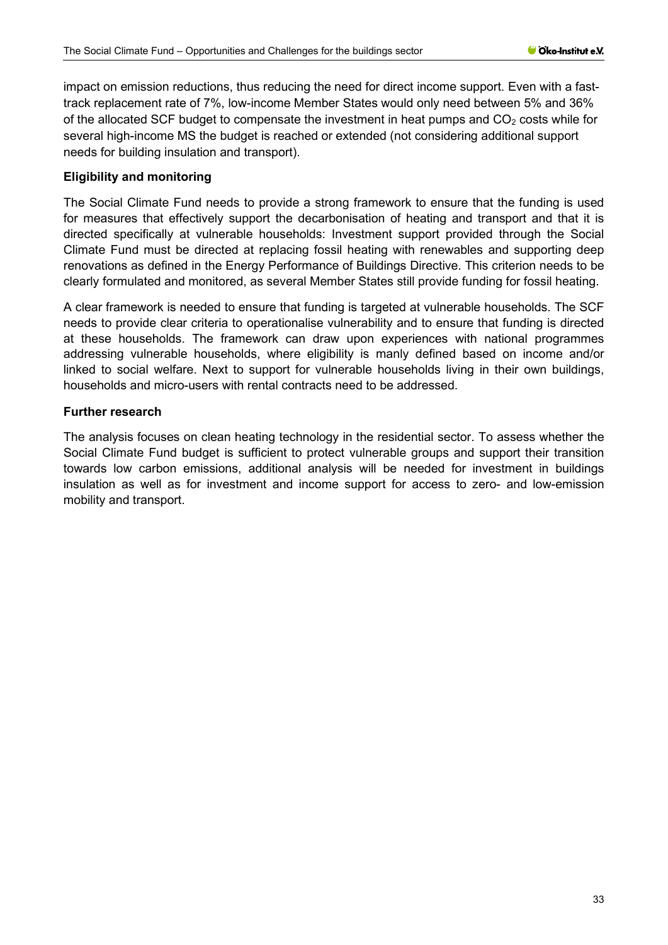impact on emission reductions, thus reducing the need for direct income support. Even with a fasttrack replacement rate of 7%, low-income Member States would only need between 5% and 36% of the allocated SCF budget to compensate the investment in heat pumps and  $CO<sub>2</sub>$  costs while for several high-income MS the budget is reached or extended (not considering additional support needs for building insulation and transport).

### **Eligibility and monitoring**

The Social Climate Fund needs to provide a strong framework to ensure that the funding is used for measures that effectively support the decarbonisation of heating and transport and that it is directed specifically at vulnerable households: Investment support provided through the Social Climate Fund must be directed at replacing fossil heating with renewables and supporting deep renovations as defined in the Energy Performance of Buildings Directive. This criterion needs to be clearly formulated and monitored, as several Member States still provide funding for fossil heating.

A clear framework is needed to ensure that funding is targeted at vulnerable households. The SCF needs to provide clear criteria to operationalise vulnerability and to ensure that funding is directed at these households. The framework can draw upon experiences with national programmes addressing vulnerable households, where eligibility is manly defined based on income and/or linked to social welfare. Next to support for vulnerable households living in their own buildings, households and micro-users with rental contracts need to be addressed.

#### **Further research**

The analysis focuses on clean heating technology in the residential sector. To assess whether the Social Climate Fund budget is sufficient to protect vulnerable groups and support their transition towards low carbon emissions, additional analysis will be needed for investment in buildings insulation as well as for investment and income support for access to zero- and low-emission mobility and transport.